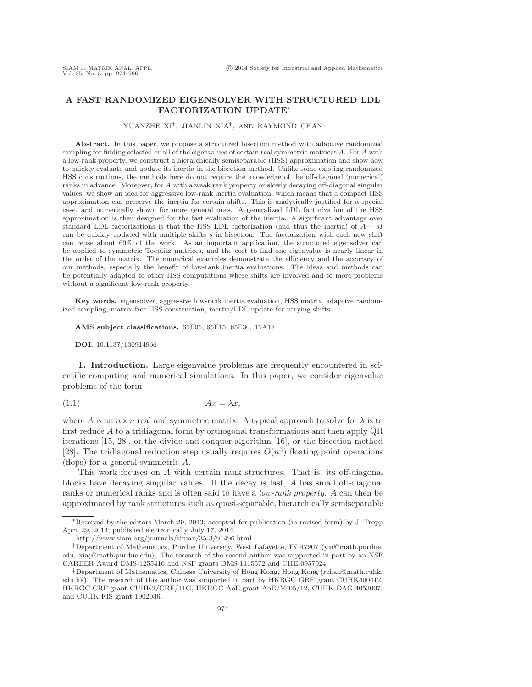## A FAST RANDOMIZED EIGENSOLVER WITH STRUCTURED LDL FACTORIZATION UPDATE<sup>∗</sup>

## YUANZHE XI† , JIANLIN XIA† , AND RAYMOND CHAN‡

Abstract. In this paper, we propose a structured bisection method with adaptive randomized sampling for finding selected or all of the eigenvalues of certain real symmetric matrices A. For A with a low-rank property, we construct a hierarchically semiseparable (HSS) approximation and show how to quickly evaluate and update its inertia in the bisection method. Unlike some existing randomized HSS constructions, the methods here do not require the knowledge of the off-diagonal (numerical) ranks in advance. Moreover, for A with a weak rank property or slowly decaying off-diagonal singular values, we show an idea for aggressive low-rank inertia evaluation, which means that a compact HSS approximation can preserve the inertia for certain shifts. This is analytically justified for a special case, and numerically shown for more general ones. A generalized LDL factorization of the HSS approximation is then designed for the fast evaluation of the inertia. A significant advantage over standard LDL factorizations is that the HSS LDL factorization (and thus the inertia) of  $A - sI$ can be quickly updated with multiple shifts s in bisection. The factorization with each new shift can reuse about 60% of the work. As an important application, the structured eigensolver can be applied to symmetric Toeplitz matrices, and the cost to find one eigenvalue is nearly linear in the order of the matrix. The numerical examples demonstrate the efficiency and the accuracy of our methods, especially the benefit of low-rank inertia evaluations. The ideas and methods can be potentially adapted to other HSS computations where shifts are involved and to more problems without a significant low-rank property.

Key words. eigensolver, aggressive low-rank inertia evaluation, HSS matrix, adaptive randomized sampling, matrix-free HSS construction, inertia/LDL update for varying shifts

AMS subject classifications. 65F05, 65F15, 65F30, 15A18

DOI. 10.1137/130914966

1. Introduction. Large eigenvalue problems are frequently encountered in scientific computing and numerical simulations. In this paper, we consider eigenvalue problems of the form

$$
(1.1)\t\t\t Ax = \lambda x,
$$

where A is an  $n \times n$  real and symmetric matrix. A typical approach to solve for  $\lambda$  is to first reduce A to a tridiagonal form by orthogonal transformations and then apply QR iterations [\[15,](#page-21-0) [28\]](#page-22-0), or the divide-and-conquer algorithm [\[16\]](#page-21-1), or the bisection method [\[28\]](#page-22-0). The tridiagonal reduction step usually requires  $O(n^3)$  floating point operations (flops) for a general symmetric A.

This work focuses on A with certain rank structures. That is, its off-diagonal blocks have decaying singular values. If the decay is fast, A has small off-diagonal ranks or numerical ranks and is often said to have a *low-rank property*. A can then be approximated by rank structures such as quasi-separable, hierarchically semiseparable

<sup>∗</sup>Received by the editors March 29, 2013; accepted for publication (in revised form) by J. Tropp April 29, 2014; published electronically July 17, 2014.

<http://www.siam.org/journals/simax/35-3/91496.html>

<sup>†</sup>Department of Mathematics, Purdue University, West Lafayette, IN 47907 [\(yxi@math.purdue.](mailto:yxi@math.purdue.edu) [edu,](mailto:yxi@math.purdue.edu) [xiaj@math.purdue.edu\)](mailto:xiaj@math.purdue.edu). The research of the second author was supported in part by an NSF CAREER Award DMS-1255416 and NSF grants DMS-1115572 and CHE-0957024.

<sup>‡</sup>Department of Mathematics, Chinese University of Hong Kong, Hong Kong [\(rchan@math.cuhk.](mailto:rchan@math.cuhk.edu.hk) [edu.hk\)](mailto:rchan@math.cuhk.edu.hk). The research of this author was supported in part by HKRGC GRF grant CUHK400412, HKRGC CRF grant CUHK2/CRF/11G, HKRGC AoE grant AoE/M-05/12, CUHK DAG 4053007, and CUHK FIS grant 1902036.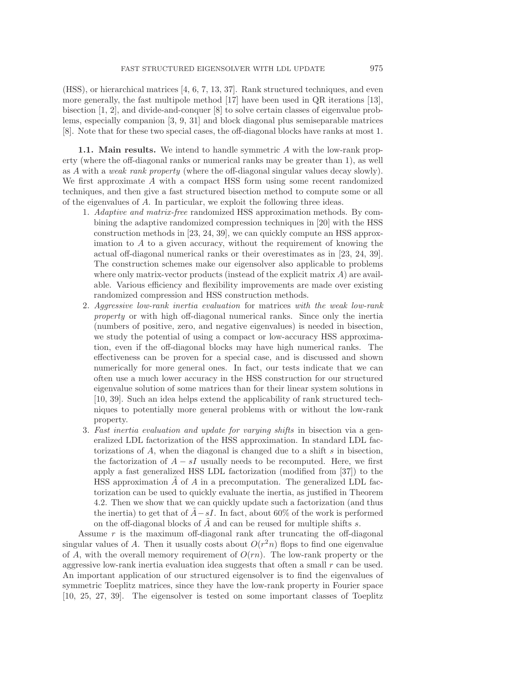(HSS), or hierarchical matrices [\[4,](#page-21-2) [6,](#page-21-3) [7,](#page-21-4) [13,](#page-21-5) [37\]](#page-22-1). Rank structured techniques, and even more generally, the fast multipole method [\[17\]](#page-21-6) have been used in QR iterations [\[13\]](#page-21-5), bisection [\[1,](#page-21-7) [2\]](#page-21-8), and divide-and-conquer [\[8\]](#page-21-9) to solve certain classes of eigenvalue problems, especially companion [\[3,](#page-21-10) [9,](#page-21-11) [31\]](#page-22-2) and block diagonal plus semiseparable matrices [\[8\]](#page-21-9). Note that for these two special cases, the off-diagonal blocks have ranks at most 1.

1.1. Main results. We intend to handle symmetric A with the low-rank property (where the off-diagonal ranks or numerical ranks may be greater than 1), as well as A with a *weak rank property* (where the off-diagonal singular values decay slowly). We first approximate  $A$  with a compact HSS form using some recent randomized techniques, and then give a fast structured bisection method to compute some or all of the eigenvalues of A. In particular, we exploit the following three ideas.

- 1. *Adaptive and matrix-free* randomized HSS approximation methods. By combining the adaptive randomized compression techniques in [\[20\]](#page-21-12) with the HSS construction methods in [\[23,](#page-21-13) [24,](#page-21-14) [39\]](#page-22-3), we can quickly compute an HSS approximation to  $A$  to a given accuracy, without the requirement of knowing the actual off-diagonal numerical ranks or their overestimates as in [\[23,](#page-21-13) [24,](#page-21-14) [39\]](#page-22-3). The construction schemes make our eigensolver also applicable to problems where only matrix-vector products (instead of the explicit matrix  $A$ ) are available. Various efficiency and flexibility improvements are made over existing randomized compression and HSS construction methods.
- 2. *Aggressive low-rank inertia evaluation* for matrices *with the weak low-rank property* or with high off-diagonal numerical ranks. Since only the inertia (numbers of positive, zero, and negative eigenvalues) is needed in bisection, we study the potential of using a compact or low-accuracy HSS approximation, even if the off-diagonal blocks may have high numerical ranks. The effectiveness can be proven for a special case, and is discussed and shown numerically for more general ones. In fact, our tests indicate that we can often use a much lower accuracy in the HSS construction for our structured eigenvalue solution of some matrices than for their linear system solutions in [\[10,](#page-21-15) [39\]](#page-22-3). Such an idea helps extend the applicability of rank structured techniques to potentially more general problems with or without the low-rank property.
- 3. *Fast inertia evaluation and update for varying shifts* in bisection via a generalized LDL factorization of the HSS approximation. In standard LDL factorizations of A, when the diagonal is changed due to a shift s in bisection, the factorization of  $A - sI$  usually needs to be recomputed. Here, we first apply a fast generalized HSS LDL factorization (modified from [\[37\]](#page-22-1)) to the HSS approximation  $\ddot{A}$  of  $A$  in a precomputation. The generalized LDL factorization can be used to quickly evaluate the inertia, as justified in Theorem [4.2.](#page-12-0) Then we show that we can quickly update such a factorization (and thus the inertia) to get that of  $A - sI$ . In fact, about 60% of the work is performed on the off-diagonal blocks of  $A$  and can be reused for multiple shifts  $s$ .

Assume  $r$  is the maximum off-diagonal rank after truncating the off-diagonal singular values of A. Then it usually costs about  $O(r^2n)$  flops to find one eigenvalue of A, with the overall memory requirement of  $O(rn)$ . The low-rank property or the aggressive low-rank inertia evaluation idea suggests that often a small  $r$  can be used. An important application of our structured eigensolver is to find the eigenvalues of symmetric Toeplitz matrices, since they have the low-rank property in Fourier space [\[10,](#page-21-15) [25,](#page-21-16) [27,](#page-21-17) [39\]](#page-22-3). The eigensolver is tested on some important classes of Toeplitz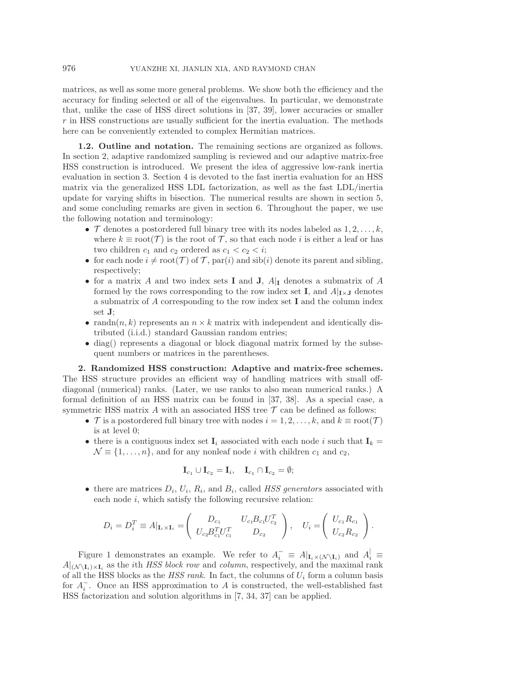matrices, as well as some more general problems. We show both the efficiency and the accuracy for finding selected or all of the eigenvalues. In particular, we demonstrate that, unlike the case of HSS direct solutions in [\[37,](#page-22-1) [39\]](#page-22-3), lower accuracies or smaller r in HSS constructions are usually sufficient for the inertia evaluation. The methods here can be conveniently extended to complex Hermitian matrices.

1.2. Outline and notation. The remaining sections are organized as follows. In section [2,](#page-2-0) adaptive randomized sampling is reviewed and our adaptive matrix-free HSS construction is introduced. We present the idea of aggressive low-rank inertia evaluation in section [3.](#page-6-0) Section [4](#page-11-0) is devoted to the fast inertia evaluation for an HSS matrix via the generalized HSS LDL factorization, as well as the fast LDL/inertia update for varying shifts in bisection. The numerical results are shown in section [5,](#page-15-0) and some concluding remarks are given in section [6.](#page-20-0) Throughout the paper, we use the following notation and terminology:

- $\mathcal T$  denotes a postordered full binary tree with its nodes labeled as  $1, 2, \ldots, k$ , where  $k \equiv \text{root}(\mathcal{T})$  is the root of  $\mathcal{T}$ , so that each node i is either a leaf or has two children  $c_1$  and  $c_2$  ordered as  $c_1 < c_2 < i$ ;
- for each node  $i \neq \text{root}(\mathcal{T})$  of  $\mathcal{T}$ , par(i) and sib(i) denote its parent and sibling, respectively;
- for a matrix A and two index sets **I** and **J**,  $A|$ **I** denotes a submatrix of A formed by the rows corresponding to the row index set I, and  $A|_{\mathbf{I}\times\mathbf{J}}$  denotes a submatrix of A corresponding to the row index set I and the column index set J;
- randn $(n, k)$  represents an  $n \times k$  matrix with independent and identically distributed (i.i.d.) standard Gaussian random entries;
- diag() represents a diagonal or block diagonal matrix formed by the subsequent numbers or matrices in the parentheses.

<span id="page-2-0"></span>2. Randomized HSS construction: Adaptive and matrix-free schemes. The HSS structure provides an efficient way of handling matrices with small offdiagonal (numerical) ranks. (Later, we use ranks to also mean numerical ranks.) A formal definition of an HSS matrix can be found in [\[37,](#page-22-1) [38\]](#page-22-4). As a special case, a symmetric HSS matrix  $A$  with an associated HSS tree  $\mathcal T$  can be defined as follows:

- T is a postordered full binary tree with nodes  $i = 1, 2, \ldots, k$ , and  $k \equiv \text{root}(\mathcal{T})$ is at level 0;
- there is a contiguous index set  $\mathbf{I}_i$  associated with each node i such that  $\mathbf{I}_k =$  $\mathcal{N} \equiv \{1,\ldots,n\}$ , and for any nonleaf node i with children  $c_1$  and  $c_2$ ,

$$
\mathbf{I}_{c_1} \cup \mathbf{I}_{c_2} = \mathbf{I}_i, \quad \mathbf{I}_{c_1} \cap \mathbf{I}_{c_2} = \emptyset;
$$

• there are matrices  $D_i$ ,  $U_i$ ,  $R_i$ , and  $B_i$ , called *HSS generators* associated with each node  $i$ , which satisfy the following recursive relation:

$$
D_i = D_i^T \equiv A|_{\mathbf{I}_i \times \mathbf{I}_i} = \begin{pmatrix} D_{c_1} & U_{c_1} B_{c_1} U_{c_2}^T \\ U_{c_2} B_{c_1}^T U_{c_1}^T & D_{c_2} \end{pmatrix}, \quad U_i = \begin{pmatrix} U_{c_1} R_{c_1} \\ U_{c_2} R_{c_2} \end{pmatrix}.
$$

Figure [1](#page-3-0) demonstrates an example. We refer to  $A_i^- \equiv A|_{\mathbf{I}_i \times (\mathcal{N} \setminus \mathbf{I}_i)}$  and  $A_i^{\dagger} \equiv$  $A|_{(N \setminus I_i) \times I_i}$  as the *i*th *HSS block row* and *column*, respectively, and the maximal rank of all the HSS blocks as the  $HSS$  rank. In fact, the columns of  $U_i$  form a column basis for  $A_i^-$ . Once an HSS approximation to A is constructed, the well-established fast HSS factorization and solution algorithms in [\[7,](#page-21-4) [34,](#page-22-5) [37\]](#page-22-1) can be applied.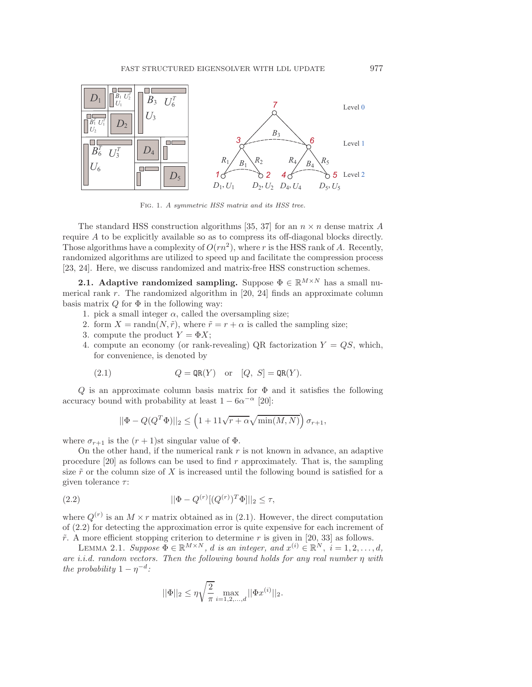

<span id="page-3-0"></span>Fig. 1. A symmetric HSS matrix and its HSS tree.

The standard HSS construction algorithms [\[35,](#page-22-6) [37\]](#page-22-1) for an  $n \times n$  dense matrix A require A to be explicitly available so as to compress its off-diagonal blocks directly. Those algorithms have a complexity of  $O(rn^2)$ , where r is the HSS rank of A. Recently, randomized algorithms are utilized to speed up and facilitate the compression process [\[23,](#page-21-13) [24\]](#page-21-14). Here, we discuss randomized and matrix-free HSS construction schemes.

<span id="page-3-4"></span>**2.1.** Adaptive randomized sampling. Suppose  $\Phi \in \mathbb{R}^{M \times N}$  has a small numerical rank r. The randomized algorithm in  $[20, 24]$  $[20, 24]$  finds an approximate column basis matrix  $Q$  for  $\Phi$  in the following way:

- 1. pick a small integer  $\alpha$ , called the oversampling size;
- 2. form  $X = \text{randn}(N, \tilde{r})$ , where  $\tilde{r} = r + \alpha$  is called the sampling size;
- 3. compute the product  $Y = \Phi X$ ;
- 4. compute an economy (or rank-revealing) QR factorization  $Y = QS$ , which, for convenience, is denoted by

(2.1) 
$$
Q = \text{QR}(Y) \text{ or } [Q, S] = \text{QR}(Y).
$$

 $Q$  is an approximate column basis matrix for  $\Phi$  and it satisfies the following accuracy bound with probability at least  $1 - 6\alpha^{-\alpha}$  [\[20\]](#page-21-12):

<span id="page-3-2"></span><span id="page-3-1"></span>
$$
||\Phi - Q(Q^T\Phi)||_2 \le \left(1 + 11\sqrt{r + \alpha}\sqrt{\min(M, N)}\right)\sigma_{r+1},
$$

where  $\sigma_{r+1}$  is the  $(r+1)$ st singular value of  $\Phi$ .

On the other hand, if the numerical rank  $r$  is not known in advance, an adaptive procedure  $[20]$  as follows can be used to find r approximately. That is, the sampling size  $\tilde{r}$  or the column size of X is increased until the following bound is satisfied for a given tolerance  $\tau$ :

(2.2) 
$$
||\Phi - Q^{(r)}[(Q^{(r)})^T\Phi]||_2 \le \tau,
$$

where  $Q^{(r)}$  is an  $M \times r$  matrix obtained as in [\(2.1\)](#page-3-1). However, the direct computation of [\(2.2\)](#page-3-2) for detecting the approximation error is quite expensive for each increment of  $\tilde{r}$ . A more efficient stopping criterion to determine r is given in [\[20,](#page-21-12) [33\]](#page-22-7) as follows.

<span id="page-3-3"></span>LEMMA 2.1. *Suppose*  $\Phi \in \mathbb{R}^{M \times N}$ , *d is an integer, and*  $x^{(i)} \in \mathbb{R}^{N}$ ,  $i = 1, 2, ..., d$ , *are i.i.d. random vectors. Then the following bound holds for any real number* η *with the probability*  $1 - \eta^{-d}$ *:* 

$$
||\Phi||_2 \le \eta \sqrt{\frac{2}{\pi}} \max_{i=1,2,\dots,d} ||\Phi x^{(i)}||_2.
$$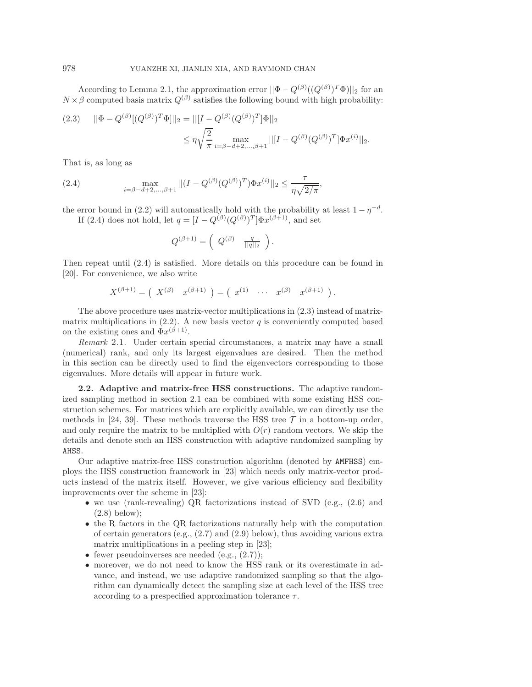According to Lemma [2.1,](#page-3-3) the approximation error  $||\Phi - Q^{(\beta)}((Q^{(\beta)})^T\Phi)||_2$  for an  $N \times \beta$  computed basis matrix  $Q^{(\beta)}$  satisfies the following bound with high probability:

<span id="page-4-1"></span>
$$
(2.3) \quad ||\Phi - Q^{(\beta)}[(Q^{(\beta)})^T\Phi]||_2 = ||[I - Q^{(\beta)}(Q^{(\beta)})^T]\Phi||_2
$$
  

$$
\leq \eta \sqrt{\frac{2}{\pi}} \max_{i=\beta-d+2,\dots,\beta+1} ||[I - Q^{(\beta)}(Q^{(\beta)})^T]\Phi x^{(i)}||_2.
$$

<span id="page-4-0"></span>That is, as long as

(2.4) 
$$
\max_{i=\beta-d+2,\ldots,\beta+1}||(I-Q^{(\beta)}(Q^{(\beta)})^T)\Phi x^{(i)}||_2 \leq \frac{\tau}{\eta\sqrt{2/\pi}},
$$

the error bound in [\(2.2\)](#page-3-2) will automatically hold with the probability at least  $1 - \eta^{-d}$ . If [\(2.4\)](#page-4-0) does not hold, let  $q = [I - Q^{(\beta)}(Q^{(\beta)})^T] \Phi x^{(\beta+1)}$ , and set

$$
Q^{(\beta+1)} = \begin{pmatrix} Q^{(\beta)} & \frac{q}{||q||_2} \end{pmatrix}.
$$

Then repeat until [\(2.4\)](#page-4-0) is satisfied. More details on this procedure can be found in [\[20\]](#page-21-12). For convenience, we also write

$$
X^{(\beta+1)} = (X^{(\beta)} \ x^{(\beta+1)} ) = (x^{(1)} \ \cdots \ x^{(\beta)} \ x^{(\beta+1)} ).
$$

The above procedure uses matrix-vector multiplications in [\(2.3\)](#page-4-1) instead of matrixmatrix multiplications in  $(2.2)$ . A new basis vector q is conveniently computed based on the existing ones and  $\Phi x^{(\beta+1)}$ .

*Remark* 2.1. Under certain special circumstances, a matrix may have a small (numerical) rank, and only its largest eigenvalues are desired. Then the method in this section can be directly used to find the eigenvectors corresponding to those eigenvalues. More details will appear in future work.

<span id="page-4-2"></span>2.2. Adaptive and matrix-free HSS constructions. The adaptive randomized sampling method in section [2.1](#page-3-4) can be combined with some existing HSS construction schemes. For matrices which are explicitly available, we can directly use the methods in [\[24,](#page-21-14) [39\]](#page-22-3). These methods traverse the HSS tree  $\mathcal T$  in a bottom-up order, and only require the matrix to be multiplied with  $O(r)$  random vectors. We skip the details and denote such an HSS construction with adaptive randomized sampling by AHSS.

Our adaptive matrix-free HSS construction algorithm (denoted by AMFHSS) employs the HSS construction framework in [\[23\]](#page-21-13) which needs only matrix-vector products instead of the matrix itself. However, we give various efficiency and flexibility improvements over the scheme in [\[23\]](#page-21-13):

- we use (rank-revealing) QR factorizations instead of SVD (e.g., [\(2.6\)](#page-5-0) and [\(2.8\)](#page-6-1) below);
- the R factors in the QR factorizations naturally help with the computation of certain generators (e.g., [\(2.7\)](#page-5-1) and [\(2.9\)](#page-6-2) below), thus avoiding various extra matrix multiplications in a peeling step in [\[23\]](#page-21-13);
- fewer pseudoinverses are needed  $(e.g., (2.7))$  $(e.g., (2.7))$  $(e.g., (2.7))$ ;
- moreover, we do not need to know the HSS rank or its overestimate in advance, and instead, we use adaptive randomized sampling so that the algorithm can dynamically detect the sampling size at each level of the HSS tree according to a prespecified approximation tolerance  $\tau$ .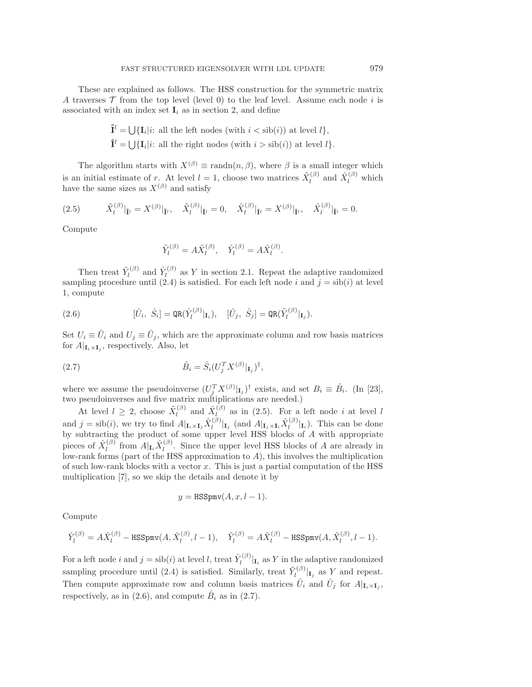These are explained as follows. The HSS construction for the symmetric matrix A traverses  $\mathcal T$  from the top level (level 0) to the leaf level. Assume each node i is associated with an index set  $\mathbf{I}_i$  as in section [2,](#page-2-0) and define

$$
\tilde{\mathbf{I}}^l = \bigcup \{ \mathbf{I}_i | i: \text{ all the left nodes (with } i < \text{sib}(i)) \text{ at level } l \},
$$
\n
$$
\hat{\mathbf{I}}^l = \bigcup \{ \mathbf{I}_i | i: \text{ all the right nodes (with } i > \text{sib}(i)) \text{ at level } l \}.
$$

The algorithm starts with  $X^{(\beta)} \equiv \text{randn}(n, \beta)$ , where  $\beta$  is a small integer which is an initial estimate of r. At level  $l = 1$ , choose two matrices  $\tilde{X}_{l}^{(\beta)}$  $\hat{X}_l^{(\beta)}$  and  $\hat{X}_l^{(\beta)}$  which have the same sizes as  $X^{(\beta)}$  and satisfy

(2.5) 
$$
\tilde{X}_l^{(\beta)}|_{\tilde{\mathbf{I}}^l} = X^{(\beta)}|_{\tilde{\mathbf{I}}^l}, \quad \tilde{X}_l^{(\beta)}|_{\hat{\mathbf{I}}^l} = 0, \quad \hat{X}_l^{(\beta)}|_{\hat{\mathbf{I}}^l} = X^{(\beta)}|_{\hat{\mathbf{I}}^l}, \quad \hat{X}_l^{(\beta)}|_{\tilde{\mathbf{I}}^l} = 0.
$$

Compute

<span id="page-5-2"></span><span id="page-5-1"></span>
$$
\tilde{Y}_l^{(\beta)} = A \tilde{X}_l^{(\beta)}, \quad \hat{Y}_l^{(\beta)} = A \hat{X}_l^{(\beta)}.
$$

Then treat  $\tilde{Y}_{l}^{(\beta)}$  $\hat{Y}_l^{(\beta)}$  and  $\hat{Y}_l^{(\beta)}$  $\ell_l^{(\rho)}$  as Y in section [2.1.](#page-3-4) Repeat the adaptive randomized sampling procedure until [\(2.4\)](#page-4-0) is satisfied. For each left node i and  $j = \text{sib}(i)$  at level 1, compute

<span id="page-5-0"></span>(2.6) 
$$
[\hat{U}_i, \ \hat{S}_i] = \text{QR}(\hat{Y}_l^{(\beta)}|_{\mathbf{I}_i}), \quad [\hat{U}_j, \ \hat{S}_j] = \text{QR}(\tilde{Y}_l^{(\beta)}|_{\mathbf{I}_j}).
$$

Set  $U_i \equiv \hat{U}_i$  and  $U_j \equiv \hat{U}_j$ , which are the approximate column and row basis matrices for  $A|_{\mathbf{I}_i \times \mathbf{I}_j}$ , respectively. Also, let

(2.7) 
$$
\hat{B}_i = \hat{S}_i (U_j^T X^{(\beta)} |_{\mathbf{I}_j})^{\dagger},
$$

where we assume the pseudoinverse  $(U_j^T X^{(\beta)} |_{\mathbf{I}_j})^{\dagger}$  exists, and set  $B_i \equiv \hat{B}_i$ . (In [\[23\]](#page-21-13), two pseudoinverses and five matrix multiplications are needed.)

At level  $l \geq 2$ , choose  $\tilde{X}_l^{(\beta)}$  $\hat{X}_l^{(\beta)}$  and  $\hat{X}_l^{(\beta)}$  $\binom{(\nu)}{l}$  as in [\(2.5\)](#page-5-2). For a left node i at level l and  $j = \text{sib}(i)$ , we try to find  $A|_{\mathbf{I}_i \times \mathbf{I}_j} \hat{X}_l^{(\beta)}$  $\prod_l^{(\beta)}$ <sub>**I**j</sub> (and  $A|_{\mathbf{I}_j \times \mathbf{I}_i} \tilde{X}_l^{(\beta)}$  $\prod_{l}^{(\rho)}\vert_{\mathbf{I}_{i}}$ ). This can be done by subtracting the product of some upper level HSS blocks of A with appropriate pieces of  $\hat{X}_l^{(\beta)}$  $\hat{I}_l^{(\beta)}$  from  $A|_{\mathbf{I}_i} \hat{X}_l^{(\beta)}$  $\ell_l^{(\rho)}$ . Since the upper level HSS blocks of A are already in low-rank forms (part of the HSS approximation to A), this involves the multiplication of such low-rank blocks with a vector  $x$ . This is just a partial computation of the HSS multiplication [\[7\]](#page-21-4), so we skip the details and denote it by

$$
y = \text{HSSpmv}(A, x, l-1).
$$

Compute

$$
\hat{Y}_l^{(\beta)} = A\hat{X}_l^{(\beta)} - \text{HSSpmv}(A, \hat{X}_l^{(\beta)}, l-1), \quad \tilde{Y}_l^{(\beta)} = A\tilde{X}_l^{(\beta)} - \text{HSSpmv}(A, \tilde{X}_l^{(\beta)}, l-1).
$$

For a left node i and  $j = \operatorname{sib}(i)$  at level l, treat  $\hat{Y}_l^{(\beta)}$  $\left\lbrack \mathbf{I}_{l}\right\rbrack$  as Y in the adaptive randomized sampling procedure until [\(2.4\)](#page-4-0) is satisfied. Similarly, treat  $\tilde{Y}_l^{(\beta)}$  $\int_{l}^{(\rho)} |I_j|$  as Y and repeat. Then compute approximate row and column basis matrices  $\hat{U}_i$  and  $\hat{U}_j$  for  $A|_{\mathbf{I}_i \times \mathbf{I}_j}$ , respectively, as in [\(2.6\)](#page-5-0), and compute  $\hat{B}_i$  as in [\(2.7\)](#page-5-1).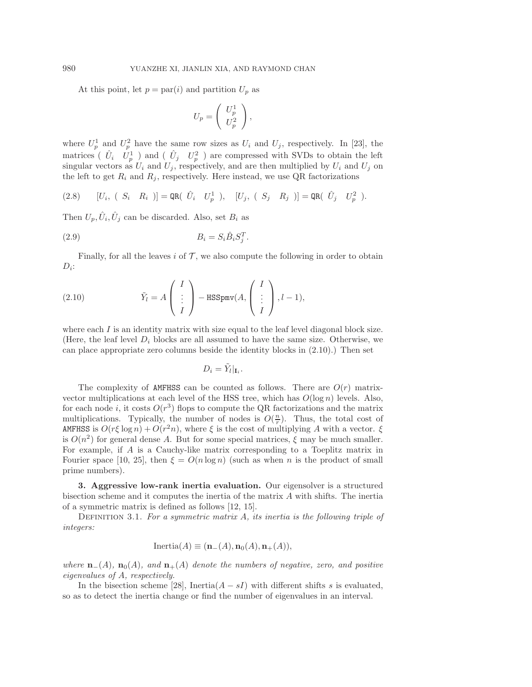At this point, let  $p = par(i)$  and partition  $U_p$  as

<span id="page-6-2"></span><span id="page-6-1"></span>
$$
U_p = \left(\begin{array}{c} U_p^1 \\ U_p^2 \end{array}\right),
$$

where  $U_p^1$  and  $U_p^2$  have the same row sizes as  $U_i$  and  $U_j$ , respectively. In [\[23\]](#page-21-13), the matrices ( $\hat{U}_i$   $U_p^1$ ) and ( $\hat{U}_j$   $U_p^2$ ) are compressed with SVDs to obtain the left singular vectors as  $U_i$  and  $U_j$ , respectively, and are then multiplied by  $U_i$  and  $U_j$  on the left to get  $R_i$  and  $R_j$ , respectively. Here instead, we use QR factorizations

$$
(2.8) \qquad [U_i, (S_i \ R_i)] = \text{QR}( \ \hat{U}_i \ U_p^1 \ ), \quad [U_j, (S_j \ R_j)] = \text{QR}( \ \hat{U}_j \ U_p^2 \ ).
$$

Then  $U_p, \hat{U}_i, \hat{U}_j$  can be discarded. Also, set  $B_i$  as

$$
(2.9) \t\t B_i = S_i \hat{B}_i S_j^T.
$$

<span id="page-6-3"></span>Finally, for all the leaves  $i$  of  $\mathcal T$ , we also compute the following in order to obtain  $D_i$ :

(2.10) 
$$
\tilde{Y}_l = A \begin{pmatrix} I \\ \vdots \\ I \end{pmatrix} - \text{HSSpmv}(A, \begin{pmatrix} I \\ \vdots \\ I \end{pmatrix}, l-1),
$$

where each  $I$  is an identity matrix with size equal to the leaf level diagonal block size. (Here, the leaf level  $D_i$  blocks are all assumed to have the same size. Otherwise, we can place appropriate zero columns beside the identity blocks in [\(2.10\)](#page-6-3).) Then set

$$
D_i = \tilde{Y}_l|_{\mathbf{I}_i}.
$$

The complexity of AMFHSS can be counted as follows. There are  $O(r)$  matrixvector multiplications at each level of the HSS tree, which has  $O(\log n)$  levels. Also, for each node *i*, it costs  $O(r^3)$  flops to compute the QR factorizations and the matrix multiplications. Typically, the number of nodes is  $O(\frac{n}{r})$ . Thus, the total cost of AMFHSS is  $O(r\xi \log n) + O(r^2 n)$ , where  $\xi$  is the cost of multiplying A with a vector.  $\xi$ is  $O(n^2)$  for general dense A. But for some special matrices,  $\xi$  may be much smaller. For example, if A is a Cauchy-like matrix corresponding to a Toeplitz matrix in Fourier space [\[10,](#page-21-15) [25\]](#page-21-16), then  $\xi = O(n \log n)$  (such as when n is the product of small prime numbers).

<span id="page-6-0"></span>3. Aggressive low-rank inertia evaluation. Our eigensolver is a structured bisection scheme and it computes the inertia of the matrix A with shifts. The inertia of a symmetric matrix is defined as follows [\[12,](#page-21-18) [15\]](#page-21-0).

Definition 3.1. *For a symmetric matrix* A*, its inertia is the following triple of integers:*

$$
Inertia(A) \equiv (\mathbf{n}_{-}(A), \mathbf{n}_{0}(A), \mathbf{n}_{+}(A)),
$$

*where*  $\mathbf{n}_-(A)$ ,  $\mathbf{n}_0(A)$ , and  $\mathbf{n}_+(A)$  denote the numbers of negative, zero, and positive *eigenvalues of* A*, respectively.*

In the bisection scheme [\[28\]](#page-22-0), Inertia( $A - sI$ ) with different shifts s is evaluated, so as to detect the inertia change or find the number of eigenvalues in an interval.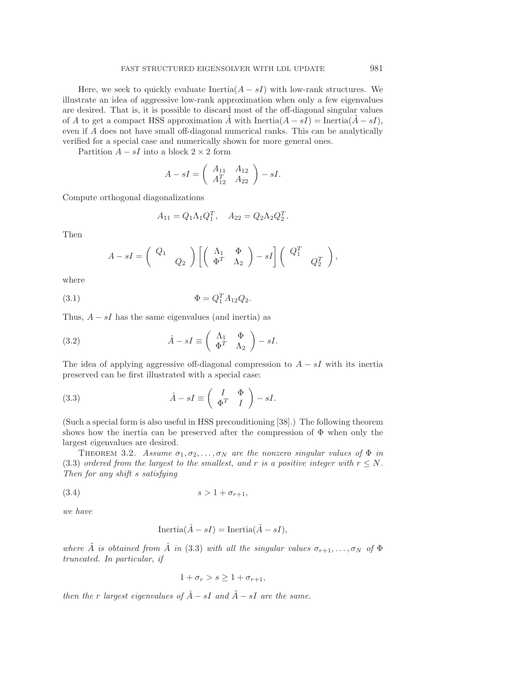Here, we seek to quickly evaluate Inertia $(A - sI)$  with low-rank structures. We illustrate an idea of aggressive low-rank approximation when only a few eigenvalues are desired. That is, it is possible to discard most of the off-diagonal singular values of A to get a compact HSS approximation A with  $\text{Inertia}(A - sI) = \text{Inertia}(A - sI),$ even if A does not have small off-diagonal numerical ranks. This can be analytically verified for a special case and numerically shown for more general ones.

Partition  $A - sI$  into a block  $2 \times 2$  form

$$
A - sI = \left(\begin{array}{cc} A_{11} & A_{12} \\ A_{12}^T & A_{22} \end{array}\right) - sI.
$$

Compute orthogonal diagonalizations

$$
A_{11} = Q_1 \Lambda_1 Q_1^T, \quad A_{22} = Q_2 \Lambda_2 Q_2^T
$$

<span id="page-7-3"></span><span id="page-7-0"></span>.

Then

$$
A - sI = \begin{pmatrix} Q_1 & 0 \ 0 & Q_2 \end{pmatrix} \left[ \begin{pmatrix} \Lambda_1 & \Phi \\ \Phi^T & \Lambda_2 \end{pmatrix} - sI \right] \begin{pmatrix} Q_1^T & 0 \ 0 & Q_2^T \end{pmatrix},
$$

where

(3.1) 
$$
\Phi = Q_1^T A_{12} Q_2.
$$

Thus,  $A - sI$  has the same eigenvalues (and inertia) as

(3.2) 
$$
\hat{A} - sI \equiv \begin{pmatrix} \Lambda_1 & \Phi \\ \Phi^T & \Lambda_2 \end{pmatrix} - sI.
$$

The idea of applying aggressive off-diagonal compression to  $A - sI$  with its inertia preserved can be first illustrated with a special case:

(3.3) 
$$
\hat{A} - sI \equiv \begin{pmatrix} I & \Phi \\ \Phi^T & I \end{pmatrix} - sI.
$$

(Such a special form is also useful in HSS preconditioning [\[38\]](#page-22-4).) The following theorem shows how the inertia can be preserved after the compression of  $\Phi$  when only the largest eigenvalues are desired.

<span id="page-7-2"></span>THEOREM 3.2. *Assume*  $\sigma_1, \sigma_2, \ldots, \sigma_N$  *are the nonzero singular values of*  $\Phi$  *in* [\(3.3\)](#page-7-0) *ordered from the largest to the smallest, and* r *is a positive integer with*  $r \leq N$ . *Then for any shift* s *satisfying*

$$
(3.4) \t\t s > 1 + \sigma_{r+1},
$$

*we have*

<span id="page-7-1"></span>
$$
\text{Inertia}(\hat{A} - sI) = \text{Inertia}(\tilde{A} - sI),
$$

*where*  $\tilde{A}$  *is obtained from*  $\hat{A}$  *in* [\(3.3\)](#page-7-0) *with all the singular values*  $\sigma_{r+1}, \ldots, \sigma_N$  *of*  $\Phi$ *truncated. In particular, if*

$$
1 + \sigma_r > s \ge 1 + \sigma_{r+1},
$$

*then the* r *largest eigenvalues of*  $\hat{A}$  − sI *and*  $\tilde{A}$  − sI *are the same.*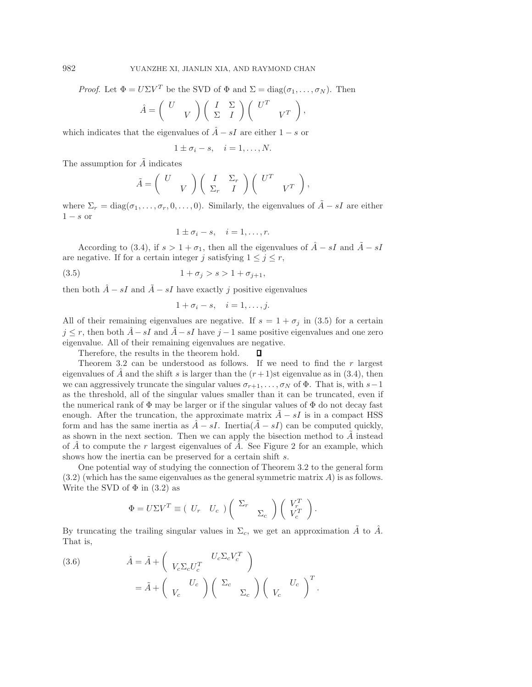*Proof.* Let  $\Phi = U\Sigma V^T$  be the SVD of  $\Phi$  and  $\Sigma = \text{diag}(\sigma_1, \dots, \sigma_N)$ . Then

$$
\hat{A} = \begin{pmatrix} U \\ V \end{pmatrix} \begin{pmatrix} I & \Sigma \\ \Sigma & I \end{pmatrix} \begin{pmatrix} U^T & \\ & V^T \end{pmatrix},
$$

which indicates that the eigenvalues of  $\hat{A} - sI$  are either  $1 - s$  or

$$
1 \pm \sigma_i - s, \quad i = 1, \dots, N.
$$

The assumption for  $\tilde{A}$  indicates

$$
\tilde{A} = \begin{pmatrix} U & \\ & V \end{pmatrix} \begin{pmatrix} I & \Sigma_r \\ \Sigma_r & I \end{pmatrix} \begin{pmatrix} U^T & \\ & V^T \end{pmatrix},
$$

where  $\Sigma_r = \text{diag}(\sigma_1, \ldots, \sigma_r, 0, \ldots, 0)$ . Similarly, the eigenvalues of  $\tilde{A} - sI$  are either  $1 - s$  or

<span id="page-8-0"></span>
$$
1 \pm \sigma_i - s, \quad i = 1, \dots, r.
$$

According to [\(3.4\)](#page-7-1), if  $s > 1 + \sigma_1$ , then all the eigenvalues of  $\hat{A} - sI$  and  $\tilde{A} - sI$ are negative. If for a certain integer j satisfying  $1 \leq j \leq r$ ,

(3.5) 
$$
1 + \sigma_j > s > 1 + \sigma_{j+1},
$$

then both  $\hat{A} - sI$  and  $\tilde{A} - sI$  have exactly j positive eigenvalues

$$
1 + \sigma_i - s, \quad i = 1, \dots, j.
$$

All of their remaining eigenvalues are negative. If  $s = 1 + \sigma_i$  in [\(3.5\)](#page-8-0) for a certain  $j \leq r$ , then both  $\hat{A} - sI$  and  $\tilde{A} - sI$  have  $j - 1$  same positive eigenvalues and one zero eigenvalue. All of their remaining eigenvalues are negative.

Therefore, the results in the theorem hold. Л

Theorem [3.2](#page-7-2) can be understood as follows. If we need to find the  $r$  largest eigenvalues of  $\tilde{A}$  and the shift s is larger than the  $(r+1)$ st eigenvalue as in [\(3.4\)](#page-7-1), then we can aggressively truncate the singular values  $\sigma_{r+1},\ldots,\sigma_N$  of  $\Phi$ . That is, with  $s-1$ as the threshold, all of the singular values smaller than it can be truncated, even if the numerical rank of  $\Phi$  may be larger or if the singular values of  $\Phi$  do not decay fast enough. After the truncation, the approximate matrix  $A - sI$  is in a compact HSS form and has the same inertia as  $\tilde{A} - sI$ . Inertia $(A - sI)$  can be computed quickly, as shown in the next section. Then we can apply the bisection method to  $A$  instead of A to compute the r largest eigenvalues of A. See Figure [2](#page-9-0) for an example, which shows how the inertia can be preserved for a certain shift s.

One potential way of studying the connection of Theorem [3.2](#page-7-2) to the general form  $(3.2)$  (which has the same eigenvalues as the general symmetric matrix A) is as follows. Write the SVD of  $\Phi$  in [\(3.2\)](#page-7-3) as

$$
\Phi = U\Sigma V^T \equiv (U_r \quad U_c) \begin{pmatrix} \Sigma_r & \\ & \Sigma_c \end{pmatrix} \begin{pmatrix} V_r^T \\ V_c^T \end{pmatrix}.
$$

By truncating the trailing singular values in  $\Sigma_c$ , we get an approximation  $\tilde{A}$  to  $\hat{A}$ . That is,

<span id="page-8-1"></span>(3.6) 
$$
\hat{A} = \tilde{A} + \left(V_c \Sigma_c U_c^T\right) = \tilde{A} + \left(V_c \left(V_c\right) \left(\Sigma_c\right) \left(\Sigma_c\right) \left(V_c\right)^T\right).
$$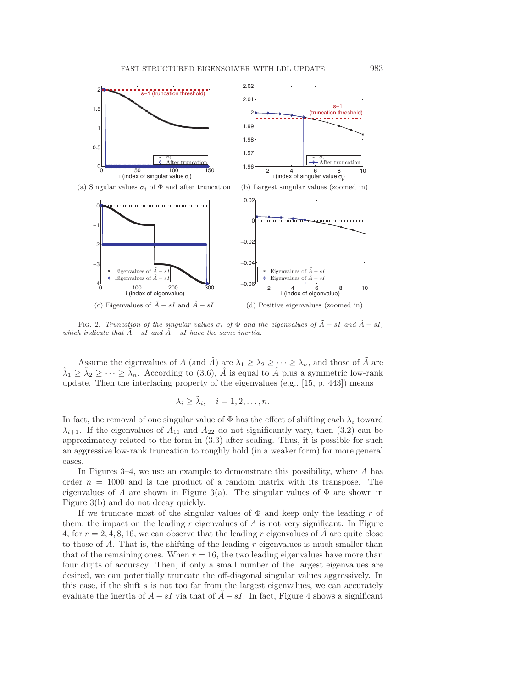

<span id="page-9-0"></span>FIG. 2. Truncation of the singular values  $\sigma_i$  of  $\Phi$  and the eigenvalues of  $\tilde{A}$  − sI and  $\tilde{A}$  − sI, which indicate that  $\tilde{A}$  – sI and  $\hat{A}$  – sI have the same inertia.

Assume the eigenvalues of A (and  $\hat{A}$ ) are  $\lambda_1 \geq \lambda_2 \geq \cdots \geq \lambda_n$ , and those of A are  $\tilde{\lambda}_1 \geq \tilde{\lambda}_2 \geq \cdots \geq \tilde{\lambda}_n$ . According to [\(3.6\)](#page-8-1),  $\hat{A}$  is equal to  $\tilde{A}$  plus a symmetric low-rank update. Then the interlacing property of the eigenvalues (e.g., [\[15,](#page-21-0) p. 443]) means

$$
\lambda_i \geq \tilde{\lambda}_i, \quad i = 1, 2, \dots, n.
$$

In fact, the removal of one singular value of  $\Phi$  has the effect of shifting each  $\lambda_i$  toward  $\lambda_{i+1}$ . If the eigenvalues of  $A_{11}$  and  $A_{22}$  do not significantly vary, then [\(3.2\)](#page-7-3) can be approximately related to the form in [\(3.3\)](#page-7-0) after scaling. Thus, it is possible for such an aggressive low-rank truncation to roughly hold (in a weaker form) for more general cases.

In Figures  $3-4$ , we use an example to demonstrate this possibility, where A has order  $n = 1000$  and is the product of a random matrix with its transpose. The eigenvalues of A are shown in Figure [3\(](#page-10-0)a). The singular values of  $\Phi$  are shown in Figure [3\(](#page-10-0)b) and do not decay quickly.

If we truncate most of the singular values of  $\Phi$  and keep only the leading r of them, the impact on the leading  $r$  eigenvalues of  $A$  is not very significant. In Figure [4,](#page-10-1) for  $r = 2, 4, 8, 16$ , we can observe that the leading r eigenvalues of A are quite close to those of A. That is, the shifting of the leading  $r$  eigenvalues is much smaller than that of the remaining ones. When  $r = 16$ , the two leading eigenvalues have more than four digits of accuracy. Then, if only a small number of the largest eigenvalues are desired, we can potentially truncate the off-diagonal singular values aggressively. In this case, if the shift  $s$  is not too far from the largest eigenvalues, we can accurately evaluate the inertia of  $A - sI$  via that of  $A - sI$ . In fact, Figure [4](#page-10-1) shows a significant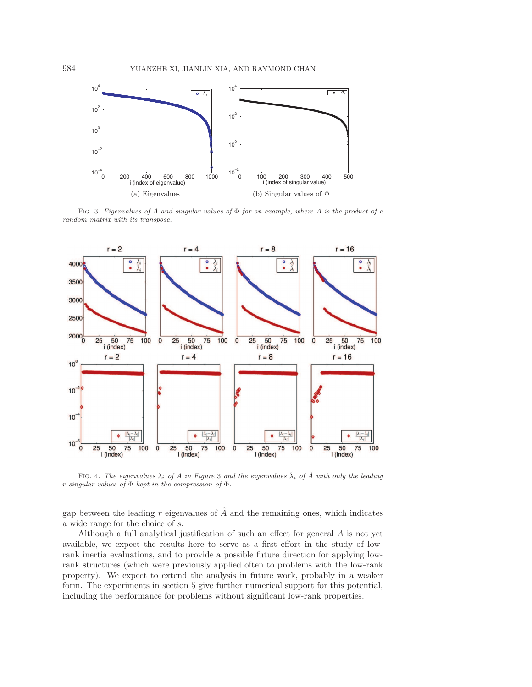

<span id="page-10-0"></span>FIG. 3. Eigenvalues of A and singular values of  $\Phi$  for an example, where A is the product of a random matrix with its transpose.



<span id="page-10-1"></span>FIG. 4. The eigenvalues  $\lambda_i$  of A in Figure [3](#page-10-0) and the eigenvalues  $\tilde{\lambda}_i$  of  $\tilde{A}$  with only the leading r singular values of  $\Phi$  kept in the compression of  $\Phi$ .

gap between the leading r eigenvalues of  $\tilde{A}$  and the remaining ones, which indicates a wide range for the choice of s.

Although a full analytical justification of such an effect for general A is not yet available, we expect the results here to serve as a first effort in the study of lowrank inertia evaluations, and to provide a possible future direction for applying lowrank structures (which were previously applied often to problems with the low-rank property). We expect to extend the analysis in future work, probably in a weaker form. The experiments in section [5](#page-15-0) give further numerical support for this potential, including the performance for problems without significant low-rank properties.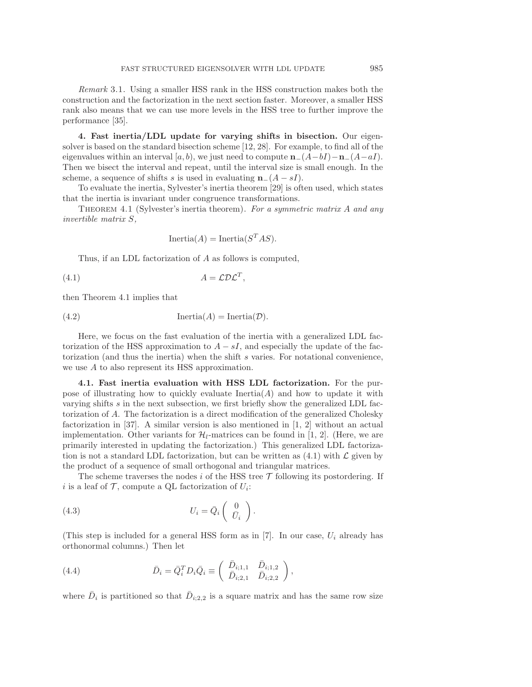*Remark* 3.1. Using a smaller HSS rank in the HSS construction makes both the construction and the factorization in the next section faster. Moreover, a smaller HSS rank also means that we can use more levels in the HSS tree to further improve the performance [\[35\]](#page-22-6).

<span id="page-11-0"></span>4. Fast inertia/LDL update for varying shifts in bisection. Our eigensolver is based on the standard bisection scheme [\[12,](#page-21-18) [28\]](#page-22-0). For example, to find all of the eigenvalues within an interval [a, b), we just need to compute  $\mathbf{n}_-(A-bI)-\mathbf{n}_-(A-aI)$ . Then we bisect the interval and repeat, until the interval size is small enough. In the scheme, a sequence of shifts s is used in evaluating  $n_-(A - sI)$ .

To evaluate the inertia, Sylvester's inertia theorem [\[29\]](#page-22-8) is often used, which states that the inertia is invariant under congruence transformations.

<span id="page-11-1"></span>Theorem 4.1 (Sylvester's inertia theorem). *For a symmetric matrix* A *and any invertible matrix* S*,*

<span id="page-11-3"></span><span id="page-11-2"></span>
$$
Inertia(A) = Inertia(S^TAS).
$$

Thus, if an LDL factorization of A as follows is computed,

$$
(4.1) \t\t A = \mathcal{L} \mathcal{D} \mathcal{L}^T,
$$

then Theorem [4.1](#page-11-1) implies that

(4.2) 
$$
\text{Inertia}(A) = \text{Inertia}(\mathcal{D}).
$$

Here, we focus on the fast evaluation of the inertia with a generalized LDL factorization of the HSS approximation to  $A - sI$ , and especially the update of the factorization (and thus the inertia) when the shift s varies. For notational convenience, we use A to also represent its HSS approximation.

4.1. Fast inertia evaluation with HSS LDL factorization. For the purpose of illustrating how to quickly evaluate  $\text{Inertia}(A)$  and how to update it with varying shifts s in the next subsection, we first briefly show the generalized LDL factorization of A. The factorization is a direct modification of the generalized Cholesky factorization in [\[37\]](#page-22-1). A similar version is also mentioned in [\[1,](#page-21-7) [2\]](#page-21-8) without an actual implementation. Other variants for  $\mathcal{H}_l$ -matrices can be found in [\[1,](#page-21-7) [2\]](#page-21-8). (Here, we are primarily interested in updating the factorization.) This generalized LDL factorization is not a standard LDL factorization, but can be written as  $(4.1)$  with  $\mathcal L$  given by the product of a sequence of small orthogonal and triangular matrices.

<span id="page-11-4"></span>The scheme traverses the nodes i of the HSS tree  $\mathcal T$  following its postordering. If i is a leaf of  $\mathcal{T}$ , compute a QL factorization of  $U_i$ :

(4.3) 
$$
U_i = \bar{Q}_i \begin{pmatrix} 0 \\ \bar{U}_i \end{pmatrix}.
$$

<span id="page-11-5"></span>(This step is included for a general HSS form as in  $[7]$ . In our case,  $U_i$  already has orthonormal columns.) Then let

(4.4) 
$$
\bar{D}_i = \bar{Q}_i^T D_i \bar{Q}_i \equiv \begin{pmatrix} \bar{D}_{i;1,1} & \bar{D}_{i;1,2} \\ \bar{D}_{i;2,1} & \bar{D}_{i;2,2} \end{pmatrix},
$$

where  $\bar{D}_i$  is partitioned so that  $\bar{D}_{i;2,2}$  is a square matrix and has the same row size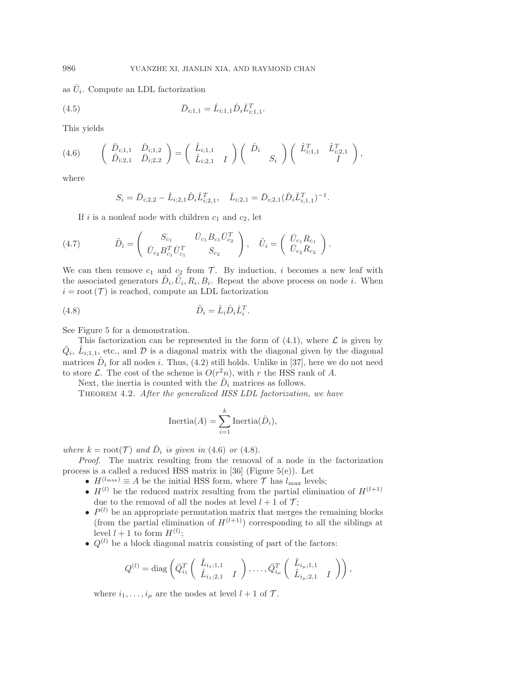as  $\bar{U}_i$ . Compute an LDL factorization

(4.5) 
$$
\bar{D}_{i;1,1} = \hat{L}_{i;1,1} \hat{D}_i \hat{L}_{i;1,1}^T.
$$

<span id="page-12-1"></span>This yields

$$
(4.6) \qquad \begin{pmatrix} \bar{D}_{i;1,1} & \bar{D}_{i;1,2} \\ \bar{D}_{i;2,1} & \bar{D}_{i;2,2} \end{pmatrix} = \begin{pmatrix} \hat{L}_{i;1,1} \\ \hat{L}_{i;2,1} & I \end{pmatrix} \begin{pmatrix} \hat{D}_{i} \\ S_{i} \end{pmatrix} \begin{pmatrix} \hat{L}_{i;1,1}^{T} & \hat{L}_{i;2,1}^{T} \\ I \end{pmatrix},
$$

where

<span id="page-12-4"></span><span id="page-12-3"></span>
$$
S_i = \bar{D}_{i;2,2} - \hat{L}_{i;2,1} \hat{D}_i \hat{L}_{i;2,1}^T, \quad \hat{L}_{i;2,1} = \bar{D}_{i;2,1} (\hat{D}_i \hat{L}_{i;1,1}^T)^{-1}.
$$

If i is a nonleaf node with children  $c_1$  and  $c_2$ , let

(4.7) 
$$
\tilde{D}_i = \begin{pmatrix} S_{c_1} & \bar{U}_{c_1} B_{c_1} \bar{U}_{c_2}^T \\ \bar{U}_{c_2} B_{c_1}^T \bar{U}_{c_1}^T & S_{c_2} \end{pmatrix}, \quad \tilde{U}_i = \begin{pmatrix} \bar{U}_{c_1} R_{c_1} \\ \bar{U}_{c_2} R_{c_2} \end{pmatrix}.
$$

We can then remove  $c_1$  and  $c_2$  from  $\mathcal T$ . By induction, i becomes a new leaf with the associated generators  $\tilde{D}_i$ ,  $\tilde{U}_i$ ,  $R_i$ ,  $B_i$ . Repeat the above process on node *i*. When  $i = root(T)$  is reached, compute an LDL factorization

$$
(4.8) \qquad \qquad \tilde{D}_i = \hat{L}_i \hat{D}_i \hat{L}_i^T.
$$

See Figure [5](#page-13-0) for a demonstration.

This factorization can be represented in the form of  $(4.1)$ , where  $\mathcal L$  is given by  $\bar{Q}_i$ ,  $\hat{L}_{i;1,1}$ , etc., and  $D$  is a diagonal matrix with the diagonal given by the diagonal matrices  $\hat{D}_i$  for all nodes *i*. Thus, [\(4.2\)](#page-11-3) still holds. Unlike in [\[37\]](#page-22-1), here we do not need to store  $\mathcal{L}$ . The cost of the scheme is  $O(r^2n)$ , with r the HSS rank of A.

<span id="page-12-0"></span>Next, the inertia is counted with the  $\hat{D}_i$  matrices as follows.

Theorem 4.2. *After the generalized HSS LDL factorization, we have*

<span id="page-12-2"></span>
$$
\text{Inertia}(A) = \sum_{i=1}^{k} \text{Inertia}(\hat{D}_i),
$$

*where*  $k = \text{root}(\mathcal{T})$  *and*  $\hat{D}_i$  *is given in* [\(4.6\)](#page-12-1) *or* [\(4.8\)](#page-12-2).

*Proof.* The matrix resulting from the removal of a node in the factorization process is a called a reduced HSS matrix in  $[36]$  (Figure [5\(](#page-13-0)e)). Let

- $H^{(l_{\text{max}})} \equiv A$  be the initial HSS form, where  $\mathcal{T}$  has  $l_{\text{max}}$  levels;
- $H^{(l)}$  be the reduced matrix resulting from the partial elimination of  $H^{(l+1)}$ due to the removal of all the nodes at level  $l + 1$  of  $\mathcal{T}$ ;
- $P^{(l)}$  be an appropriate permutation matrix that merges the remaining blocks (from the partial elimination of  $H^{(l+1)}$ ) corresponding to all the siblings at level  $l + 1$  to form  $H^{(l)}$ ;
- $Q^{(l)}$  be a block diagonal matrix consisting of part of the factors:

$$
Q^{(l)} = \text{diag}\left(\bar{Q}_{i_1}^T \left( \begin{array}{cc} \hat{L}_{i_1;1,1} & \\ \hat{L}_{i_1;2,1} & I \end{array} \right), \ldots, \bar{Q}_{i_\mu}^T \left( \begin{array}{cc} \hat{L}_{i_\mu;1,1} & \\ \hat{L}_{i_\mu;2,1} & I \end{array} \right) \right),
$$

where  $i_1,\ldots,i_\mu$  are the nodes at level  $l+1$  of  $\mathcal{T}$ .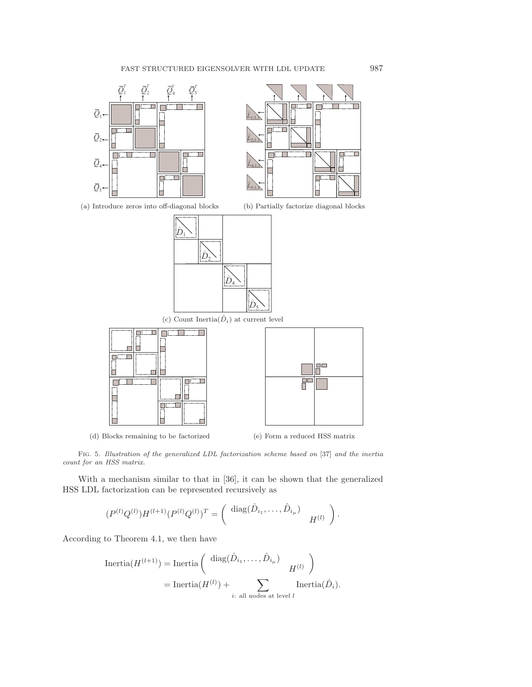



(a) Introduce zeros into off-diagonal blocks (b) Partially factorize diagonal blocks





(d) Blocks remaining to be factorized (e) Form a reduced HSS matrix

<span id="page-13-0"></span>

Fig. 5. Illustration of the generalized LDL factorization scheme based on [\[37\]](#page-22-1) and the inertia count for an HSS matrix.

With a mechanism similar to that in [\[36\]](#page-22-9), it can be shown that the generalized HSS LDL factorization can be represented recursively as

$$
(P^{(l)}Q^{(l)})H^{(l+1)}(P^{(l)}Q^{(l)})^T = \left(\begin{array}{cc} \text{diag}(\hat{D}_{i_1},\ldots,\hat{D}_{i_\mu}) & H^{(l)} \end{array}\right).
$$

According to Theorem [4.1,](#page-11-1) we then have

$$
\text{Inertia}(H^{(l+1)}) = \text{Inertia}\left(\begin{array}{c}\text{diag}(\hat{D}_{i_1},\ldots,\hat{D}_{i_\mu})\\
H^{(l)}\end{array}\right)
$$

$$
= \text{Inertia}(H^{(l)}) + \sum_{i:\text{ all nodes at level }l} \text{Inertia}(\hat{D}_i).
$$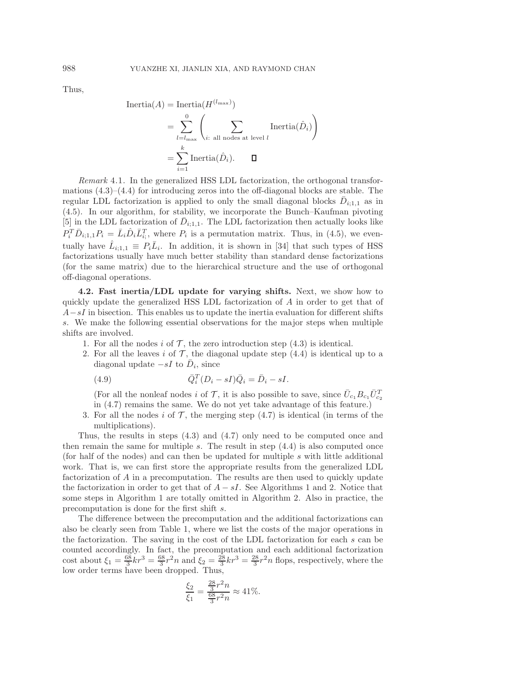Thus,

Inertia(A) = Inertia(
$$
H^{(l_{\text{max}})}
$$
)  
\n
$$
= \sum_{l=l_{\text{max}}}^{0} \left( \sum_{i:\text{ all nodes at level } l} \text{Inertia}(\hat{D}_i) \right)
$$
\n
$$
= \sum_{i=1}^{k} \text{Inertia}(\hat{D}_i). \qquad \Box
$$

*Remark* 4.1. In the generalized HSS LDL factorization, the orthogonal transformations  $(4.3)$ – $(4.4)$  for introducing zeros into the off-diagonal blocks are stable. The regular LDL factorization is applied to only the small diagonal blocks  $\bar{D}_{i;1,1}$  as in [\(4.5\)](#page-12-3). In our algorithm, for stability, we incorporate the Bunch–Kaufman pivoting [\[5\]](#page-21-19) in the LDL factorization of  $\bar{D}_{i;1,1}$ . The LDL factorization then actually looks like  $P_i^T \bar{D}_{i;1,1} P_i = \bar{L}_i \hat{D}_i \bar{L}_{i;1}^T$ , where  $P_i$  is a permutation matrix. Thus, in [\(4.5\)](#page-12-3), we eventually have  $\hat{L}_{i;1,1} \equiv P_i \overline{L}_i$ . In addition, it is shown in [\[34\]](#page-22-5) that such types of HSS factorizations usually have much better stability than standard dense factorizations (for the same matrix) due to the hierarchical structure and the use of orthogonal off-diagonal operations.

4.2. Fast inertia/LDL update for varying shifts. Next, we show how to quickly update the generalized HSS LDL factorization of A in order to get that of  $A-sI$  in bisection. This enables us to update the inertia evaluation for different shifts s. We make the following essential observations for the major steps when multiple shifts are involved.

- 1. For all the nodes i of  $\mathcal T$ , the zero introduction step [\(4.3\)](#page-11-4) is identical.
- 2. For all the leaves i of  $\mathcal T$ , the diagonal update step [\(4.4\)](#page-11-5) is identical up to a diagonal update  $-sI$  to  $\overline{D}_i$ , since

<span id="page-14-0"></span>(4.9) 
$$
\overline{Q}_i^T (D_i - sI) \overline{Q}_i = \overline{D}_i - sI.
$$

(For all the nonleaf nodes *i* of  $\mathcal{T}$ , it is also possible to save, since  $\bar{U}_{c_1}B_{c_1}\bar{U}_{c_2}^T$ in [\(4.7\)](#page-12-4) remains the same. We do not yet take advantage of this feature.)

3. For all the nodes i of  $\mathcal T$ , the merging step [\(4.7\)](#page-12-4) is identical (in terms of the multiplications).

Thus, the results in steps [\(4.3\)](#page-11-4) and [\(4.7\)](#page-12-4) only need to be computed once and then remain the same for multiple s. The result in step  $(4.4)$  is also computed once (for half of the nodes) and can then be updated for multiple s with little additional work. That is, we can first store the appropriate results from the generalized LDL factorization of A in a precomputation. The results are then used to quickly update the factorization in order to get that of  $A - sI$ . See Algorithms [1](#page-15-1) and [2.](#page-15-2) Notice that some steps in Algorithm [1](#page-15-1) are totally omitted in Algorithm [2.](#page-15-2) Also in practice, the precomputation is done for the first shift s.

The difference between the precomputation and the additional factorizations can also be clearly seen from Table [1,](#page-15-3) where we list the costs of the major operations in the factorization. The saving in the cost of the LDL factorization for each s can be counted accordingly. In fact, the precomputation and each additional factorization cost about  $\xi_1 = \frac{68}{3}kr^3 = \frac{68}{3}r^2n$  and  $\xi_2 = \frac{28}{3}kr^3 = \frac{28}{3}r^2n$  flops, respectively, where the low order terms have been dropped. Thus,

$$
\frac{\xi_2}{\xi_1} = \frac{\frac{28}{3}r^2n}{\frac{68}{3}r^2n} \approx 41\%.
$$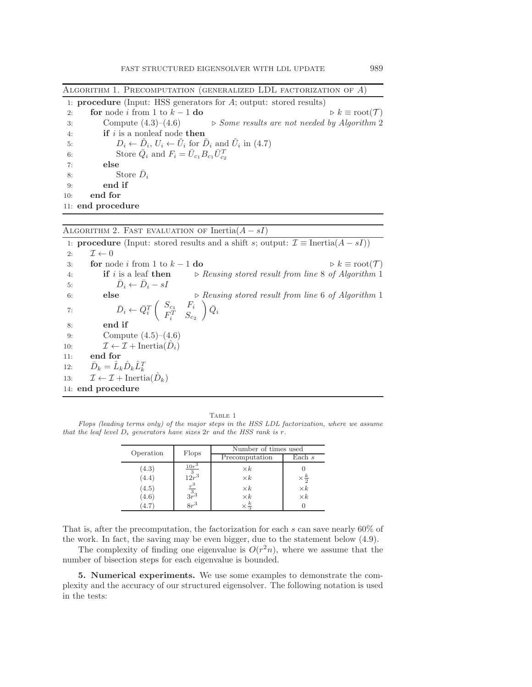<span id="page-15-1"></span>Algorithm 1. Precomputation (generalized LDL factorization of A)

|     | 1: <b>procedure</b> (Input: HSS generators for $A$ ; output: stored results)                          |
|-----|-------------------------------------------------------------------------------------------------------|
| 2:  | for node i from 1 to $k-1$ do<br>$\triangleright k \equiv \text{root}(\mathcal{T})$                   |
| 3:  | Compute $(4.3)$ – $(4.6)$ $\rightarrow$ <i>Some results are not needed by Algorithm 2</i>             |
| 4:  | <b>if</b> is a nonleaf node then                                                                      |
| 5:  | $D_i \leftarrow \tilde{D}_i, U_i \leftarrow \tilde{U}_i$ for $\tilde{D}_i$ and $\tilde{U}_i$ in (4.7) |
| 6:  | Store $\overline{Q}_i$ and $F_i = \overline{U}_{c_1} B_{c_1} \overline{U}_{c_2}^T$                    |
| 7:  | else                                                                                                  |
| 8:  | Store $D_i$                                                                                           |
| 9:  | end if                                                                                                |
| 10: | end for                                                                                               |
|     | 11: end procedure                                                                                     |

<span id="page-15-2"></span>ALGORITHM 2. FAST EVALUATION OF Inertia $(A - sI)$ 

|     |                                                                                                                            | 1: <b>procedure</b> (Input: stored results and a shift s; output: $\mathcal{I} \equiv$ Inertia $(A - sI)$ ) |                                                    |
|-----|----------------------------------------------------------------------------------------------------------------------------|-------------------------------------------------------------------------------------------------------------|----------------------------------------------------|
| 2:  | $\mathcal{I} \leftarrow 0$                                                                                                 |                                                                                                             |                                                    |
| 3:  | for node <i>i</i> from 1 to $k-1$ do                                                                                       |                                                                                                             | $\triangleright k \equiv \text{root}(\mathcal{T})$ |
| 4:  | if $i$ is a leaf then                                                                                                      | $\triangleright$ Reusing stored result from line 8 of Algorithm 1                                           |                                                    |
| 5:  | $D_i \leftarrow D_i - sI$                                                                                                  |                                                                                                             |                                                    |
| 6:  | else                                                                                                                       | $\triangleright$ Reusing stored result from line 6 of Algorithm 1                                           |                                                    |
| 7:  | $\bar{D}_i \leftarrow \bar{Q}_i^T \left( \begin{array}{cc} S_{c_1} & F_i \\ F_i^T & S_{c_2} \end{array} \right) \bar{Q}_i$ |                                                                                                             |                                                    |
| 8:  | end if                                                                                                                     |                                                                                                             |                                                    |
| 9:  | Compute $(4.5)$ – $(4.6)$                                                                                                  |                                                                                                             |                                                    |
| 10: | $\mathcal{I} \leftarrow \mathcal{I} + \text{Inertia}(\hat{D}_i)$                                                           |                                                                                                             |                                                    |
| 11: | end for                                                                                                                    |                                                                                                             |                                                    |
| 12: | $\bar{D}_k = \hat{L}_k \hat{D}_k \hat{L}_k^T$                                                                              |                                                                                                             |                                                    |
| 13: | $\mathcal{I} \leftarrow \mathcal{I} + \text{Inertia}(\hat{D}_k)$                                                           |                                                                                                             |                                                    |
|     | 14: end procedure                                                                                                          |                                                                                                             |                                                    |

TABLE 1

<span id="page-15-3"></span>Flops (leading terms only) of the major steps in the HSS LDL factorization, where we assume that the leaf level  $D_i$  generators have sizes  $2r$  and the HSS rank is r.

| Operation | Flops                        | Number of times used |                      |  |  |  |
|-----------|------------------------------|----------------------|----------------------|--|--|--|
|           |                              | Precomputation       | Each $s$             |  |  |  |
| (4.3)     | $\frac{10r^3}{3}$<br>$12r^3$ | $\times k$           |                      |  |  |  |
| (4.4)     |                              | $\times k$           | $\times \frac{k}{2}$ |  |  |  |
| (4.5)     | $rac{r^3}{3r^3}$<br>$8r^3$   | $\times k$           | $\times k$           |  |  |  |
| (4.6)     |                              | $\times k$           | $\times k$           |  |  |  |
| 4.7       |                              | $\times \frac{k}{2}$ |                      |  |  |  |

That is, after the precomputation, the factorization for each s can save nearly 60% of the work. In fact, the saving may be even bigger, due to the statement below [\(4.9\)](#page-14-0).

The complexity of finding one eigenvalue is  $O(r^2n)$ , where we assume that the number of bisection steps for each eigenvalue is bounded.

<span id="page-15-0"></span>5. Numerical experiments. We use some examples to demonstrate the complexity and the accuracy of our structured eigensolver. The following notation is used in the tests: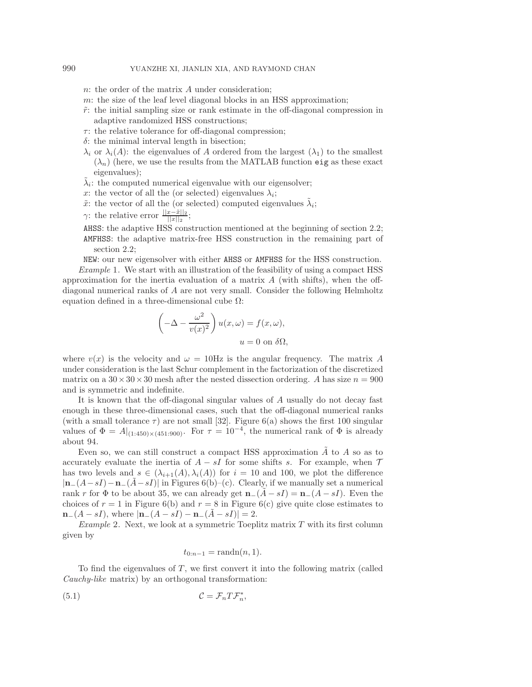## 990 YUANZHE XI, JIANLIN XIA, AND RAYMOND CHAN

- n: the order of the matrix A under consideration;
- m: the size of the leaf level diagonal blocks in an HSS approximation;
- $\tilde{r}$ : the initial sampling size or rank estimate in the off-diagonal compression in adaptive randomized HSS constructions;
- $\tau$ : the relative tolerance for off-diagonal compression;
- $\delta$ : the minimal interval length in bisection;
- $\lambda_i$  or  $\lambda_i(A)$ : the eigenvalues of A ordered from the largest  $(\lambda_1)$  to the smallest  $(\lambda_n)$  (here, we use the results from the MATLAB function eig as these exact eigenvalues);
- $\tilde{\lambda}_i$ : the computed numerical eigenvalue with our eigensolver;
- x: the vector of all the (or selected) eigenvalues  $\lambda_i$ ;
- $\tilde{x}$ : the vector of all the (or selected) computed eigenvalues  $\tilde{\lambda}_i$ ;
- γ: the relative error  $\frac{||x-\tilde{x}||_2}{||x||_2};$
- AHSS: the adaptive HSS construction mentioned at the beginning of section [2.2;](#page-4-2) AMFHSS: the adaptive matrix-free HSS construction in the remaining part of section [2.2;](#page-4-2)

<span id="page-16-0"></span>NEW: our new eigensolver with either AHSS or AMFHSS for the HSS construction. *Example* 1. We start with an illustration of the feasibility of using a compact HSS approximation for the inertia evaluation of a matrix  $A$  (with shifts), when the offdiagonal numerical ranks of A are not very small. Consider the following Helmholtz equation defined in a three-dimensional cube  $\Omega$ :

$$
\left(-\Delta - \frac{\omega^2}{v(x)^2}\right)u(x,\omega) = f(x,\omega),
$$
  
  $u = 0$  on  $\delta\Omega,$ 

where  $v(x)$  is the velocity and  $\omega = 10$ Hz is the angular frequency. The matrix A under consideration is the last Schur complement in the factorization of the discretized matrix on a  $30 \times 30 \times 30$  mesh after the nested dissection ordering. A has size  $n = 900$ and is symmetric and indefinite.

It is known that the off-diagonal singular values of A usually do not decay fast enough in these three-dimensional cases, such that the off-diagonal numerical ranks (with a small tolerance  $\tau$ ) are not small [\[32\]](#page-22-10). Figure [6\(](#page-17-0)a) shows the first 100 singular values of  $\Phi = A|_{(1:450)\times(451:900)}$ . For  $\tau = 10^{-4}$ , the numerical rank of  $\Phi$  is already about 94.

Even so, we can still construct a compact HSS approximation  $\tilde{A}$  to A so as to accurately evaluate the inertia of  $A - sI$  for some shifts s. For example, when  $\mathcal T$ has two levels and  $s \in (\lambda_{i+1}(A), \lambda_i(A))$  for  $i = 10$  and 100, we plot the difference  $|\mathbf{n}_-(A-sI)-\mathbf{n}_-(A-sI)|$  in Figures [6\(](#page-17-0)b)–(c). Clearly, if we manually set a numerical rank r for  $\Phi$  to be about 35, we can already get  $\mathbf{n}_-(A-sI) = \mathbf{n}_-(A-sI)$ . Even the choices of  $r = 1$  in Figure [6\(](#page-17-0)b) and  $r = 8$  in Figure 6(c) give quite close estimates to  $n_-(A - sI)$ , where  $|n_-(A - sI) - n_-(A - sI)| = 2$ .

<span id="page-16-2"></span>*Example* 2. Next, we look at a symmetric Toeplitz matrix T with its first column given by

<span id="page-16-1"></span>
$$
t_{0:n-1} = \text{randn}(n, 1).
$$

To find the eigenvalues of  $T$ , we first convert it into the following matrix (called *Cauchy-like* matrix) by an orthogonal transformation:

$$
(5.1) \t\t\t \t\t \mathcal{C} = \mathcal{F}_n T \mathcal{F}_n^*,
$$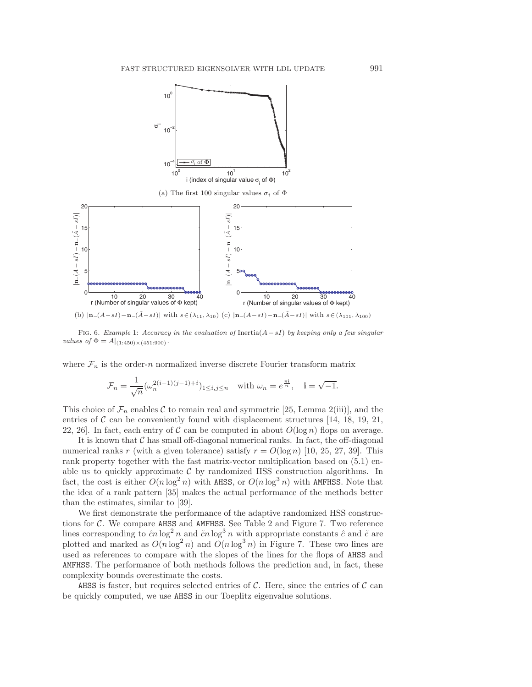

(a) The first 100 singular values  $\sigma_i$  of  $\Phi$ 



<span id="page-17-0"></span>FIG. 6. Example [1:](#page-16-0) Accuracy in the evaluation of Inertia $(A - sI)$  by keeping only a few singular values of  $\Phi = A|_{(1:450)\times(451:900)}$ .

where  $\mathcal{F}_n$  is the order-n normalized inverse discrete Fourier transform matrix

$$
\mathcal{F}_n = \frac{1}{\sqrt{n}} (\omega_n^{2(i-1)(j-1)+i})_{1 \le i,j \le n} \quad \text{with } \omega_n = e^{\frac{\pi i}{n}}, \quad i = \sqrt{-1}.
$$

This choice of  $\mathcal{F}_n$  enables C to remain real and symmetric [\[25,](#page-21-16) Lemma 2(iii)], and the entries of  $\mathcal C$  can be conveniently found with displacement structures [\[14,](#page-21-20) [18,](#page-21-21) [19,](#page-21-22) [21,](#page-21-23) [22,](#page-21-24) [26\]](#page-21-25). In fact, each entry of C can be computed in about  $O(\log n)$  flops on average.

It is known that  $\mathcal C$  has small off-diagonal numerical ranks. In fact, the off-diagonal numerical ranks r (with a given tolerance) satisfy  $r = O(\log n)$  [\[10,](#page-21-15) [25,](#page-21-16) [27,](#page-21-17) [39\]](#page-22-3). This rank property together with the fast matrix-vector multiplication based on [\(5.1\)](#page-16-1) enable us to quickly approximate  $C$  by randomized HSS construction algorithms. In fact, the cost is either  $O(n \log^2 n)$  with AHSS, or  $O(n \log^3 n)$  with AMFHSS. Note that the idea of a rank pattern [\[35\]](#page-22-6) makes the actual performance of the methods better than the estimates, similar to [\[39\]](#page-22-3).

We first demonstrate the performance of the adaptive randomized HSS constructions for C. We compare AHSS and AMFHSS. See Table [2](#page-18-0) and Figure [7.](#page-18-1) Two reference lines corresponding to  $\hat{c}n \log^2 n$  and  $\tilde{c}n \log^3 n$  with appropriate constants  $\hat{c}$  and  $\tilde{c}$  are plotted and marked as  $O(n \log^2 n)$  and  $O(n \log^3 n)$  in Figure [7.](#page-18-1) These two lines are used as references to compare with the slopes of the lines for the flops of AHSS and AMFHSS. The performance of both methods follows the prediction and, in fact, these complexity bounds overestimate the costs.

AHSS is faster, but requires selected entries of  $\mathcal C$ . Here, since the entries of  $\mathcal C$  can be quickly computed, we use AHSS in our Toeplitz eigenvalue solutions.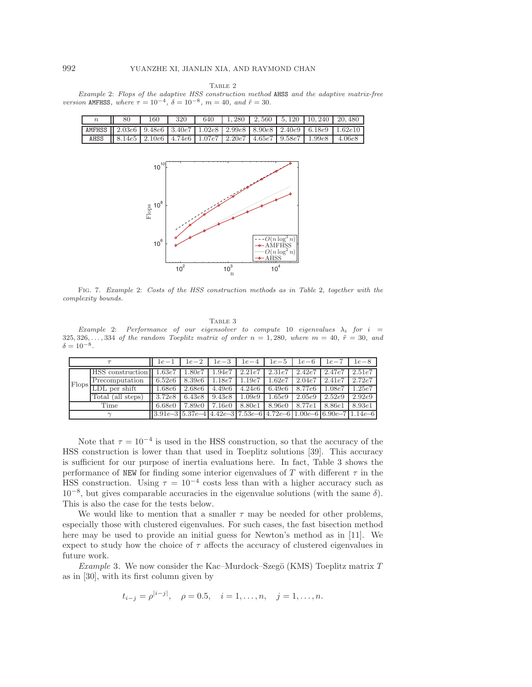TABLE 2

<span id="page-18-0"></span>Example [2:](#page-16-2) Flops of the adaptive HSS construction method AHSS and the adaptive matrix-free version AMFHSS, where  $\tau = 10^{-4}$ ,  $\delta = 10^{-8}$ ,  $m = 40$ , and  $\tilde{r} = 30$ .

|                                                                                           | 80 | 160 | 320 |  |  | 640   1,280   2,560   5,120   10,240   20,480                                                                                                                                   |  |
|-------------------------------------------------------------------------------------------|----|-----|-----|--|--|---------------------------------------------------------------------------------------------------------------------------------------------------------------------------------|--|
| AMFHSS    2.03e6   9.48e6   3.40e7   1.02e8   2.99e8   8.90e8   2.40e9   6.18e9   1.62e10 |    |     |     |  |  |                                                                                                                                                                                 |  |
|                                                                                           |    |     |     |  |  | AHSS $\parallel$ 8.14e5 $\parallel$ 2.10e6 $\parallel$ 4.74e6 $\parallel$ 1.07e7 $\parallel$ 2.20e7 $\parallel$ 4.65e7 $\parallel$ 9.58e7 $\parallel$ 1.99e8 $\parallel$ 4.06e8 |  |



<span id="page-18-1"></span>Fig. 7. Example [2:](#page-16-2) Costs of the HSS construction methods as in Table [2,](#page-18-0) together with the complexity bounds.

TABLE 3

<span id="page-18-2"></span>Example [2:](#page-16-2) Performance of our eigensolver to compute 10 eigenvalues  $\lambda_i$  for  $i =$ 325, 326,..., 334 of the random Toeplitz matrix of order  $n = 1,280$ , where  $m = 40$ ,  $\tilde{r} = 30$ , and  $\delta = 10^{-8}.$ 

|       |                         | $1e-1$                                                                                                         | $1e-2$ | $1e-3$ | $1e-4$          | $1e-5$ | $1e-6$ | $1e - 7$                       | $1e-8$ |
|-------|-------------------------|----------------------------------------------------------------------------------------------------------------|--------|--------|-----------------|--------|--------|--------------------------------|--------|
|       | HSS construction 1.63e7 |                                                                                                                | 1.80e7 |        | $1.94e7$ 2.21e7 |        |        | $2.31e7$   $2.42e7$   $2.47e7$ | 2.51e7 |
| Flops | Precomputation          | 6.52e6                                                                                                         | 8.39e6 | 1.18e7 | 1.19e7          | 1.62e7 | 2.04e7 | 2.41e7                         | 2.72e7 |
|       | $LDL$ per shift         | 1.68e6                                                                                                         | 2.68e6 | 4.49e6 | 4.24e6          | 6.49e6 | 8.77e6 | 1.08e7                         | .25e7  |
|       | Total (all steps)       | 3.72e8                                                                                                         | 6.43e8 | 9.43e8 | 1.09e9          | 1.65e9 | 2.05e9 | 2.52e9                         | 2.92e9 |
|       | Time                    | 6.68e0                                                                                                         | 7.89e0 | 7.16e0 | 8.80e1          | 8.96e0 | 8.77e1 | 8.86e1                         | 8.93e1 |
|       | $\sim$                  | $\left 3.91e-3\right 5.37e-4\left 4.42e-3\right 7.53e-6\left 4.72e-6\right 1.00e-6\left 6.90e-7\right 1.14e-6$ |        |        |                 |        |        |                                |        |

Note that  $\tau = 10^{-4}$  is used in the HSS construction, so that the accuracy of the HSS construction is lower than that used in Toeplitz solutions [\[39\]](#page-22-3). This accuracy is sufficient for our purpose of inertia evaluations here. In fact, Table [3](#page-18-2) shows the performance of NEW for finding some interior eigenvalues of T with different  $\tau$  in the HSS construction. Using  $\tau = 10^{-4}$  costs less than with a higher accuracy such as  $10^{-8}$ , but gives comparable accuracies in the eigenvalue solutions (with the same  $\delta$ ). This is also the case for the tests below.

We would like to mention that a smaller  $\tau$  may be needed for other problems, especially those with clustered eigenvalues. For such cases, the fast bisection method here may be used to provide an initial guess for Newton's method as in [\[11\]](#page-21-26). We expect to study how the choice of  $\tau$  affects the accuracy of clustered eigenvalues in future work.

<span id="page-18-3"></span>*Example* 3. We now consider the Kac–Murdock–Szegö (KMS) Toeplitz matrix T as in [\[30\]](#page-22-11), with its first column given by

$$
t_{i-j} = \rho^{|i-j|}, \quad \rho = 0.5, \quad i = 1, \dots, n, \quad j = 1, \dots, n.
$$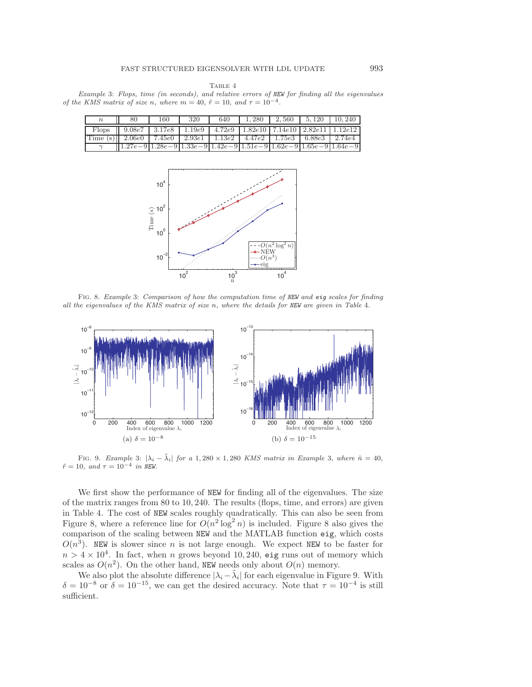TABLE 4

<span id="page-19-0"></span>Example [3:](#page-18-3) Flops, time (in seconds), and relative errors of NEW for finding all the eigenvalues of the KMS matrix of size n, where  $m = 40$ ,  $\tilde{r} = 10$ , and  $\tau = 10^{-4}$ .

| $\boldsymbol{n}$                                                                                              | $\blacksquare$ 80                                                  |  | $160$   320   640   1, 280   2, 560   5, 120   10, 240 |  |  |
|---------------------------------------------------------------------------------------------------------------|--------------------------------------------------------------------|--|--------------------------------------------------------|--|--|
| Flops    $9.08e7$   $3.17e8$   $1.19e9$   $4.72e9$   $1.82e10$   $7.14e\overline{10}$   $2.82e11$   $1.12e12$ |                                                                    |  |                                                        |  |  |
| Time (s)   2.06e0   7.45e0   2.93e1   1.13e2   4.47e2   1.75e3   6.88e3   2.74e4                              |                                                                    |  |                                                        |  |  |
| $\sim$                                                                                                        | $[1.27e-9]1.28e-9]1.38e-9]1.42e-9]1.51e-9]1.62e-9]1.65e-9]1.64e-9$ |  |                                                        |  |  |



<span id="page-19-1"></span>Fig. 8. Example [3:](#page-18-3) Comparison of how the computation time of NEW and eig scales for finding all the eigenvalues of the KMS matrix of size n, where the details for NEW are given in Table [4.](#page-19-0)



<span id="page-19-2"></span>FIG. 9. Example [3:](#page-18-3)  $|\lambda_i - \tilde{\lambda}_i|$  for a 1, 280 × 1, 280 KMS matrix in Example [3,](#page-18-3) where  $\hat{n} = 40$ ,  $\tilde{r} = 10$ , and  $\tau = 10^{-4}$  in NEW.

We first show the performance of NEW for finding all of the eigenvalues. The size of the matrix ranges from 80 to 10, 240. The results (flops, time, and errors) are given in Table [4.](#page-19-0) The cost of NEW scales roughly quadratically. This can also be seen from Figure [8,](#page-19-1) where a reference line for  $O(n^2 \log^2 n)$  is included. Figure [8](#page-19-1) also gives the comparison of the scaling between NEW and the MATLAB function eig, which costs  $O(n^3)$ . NEW is slower since n is not large enough. We expect NEW to be faster for  $n > 4 \times 10^4$ . In fact, when n grows beyond 10, 240, eig runs out of memory which scales as  $O(n^2)$ . On the other hand, NEW needs only about  $O(n)$  memory.

We also plot the absolute difference  $|\lambda_i - \tilde{\lambda}_i|$  for each eigenvalue in Figure [9.](#page-19-2) With  $\delta = 10^{-8}$  or  $\delta = 10^{-15}$ , we can get the desired accuracy. Note that  $\tau = 10^{-4}$  is still sufficient.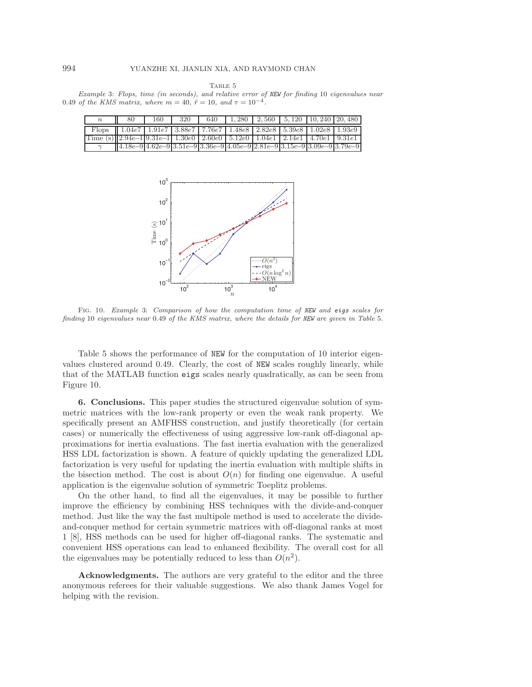TABLE 5

<span id="page-20-1"></span>Example [3:](#page-18-3) Flops, time (in seconds), and relative error of NEW for finding 10 eigenvalues near 0.49 of the KMS matrix, where  $m = 40$ ,  $\tilde{r} = 10$ , and  $\tau = 10^{-4}$ .

| $\mathbb n$                                                                                         | $\parallel$ 80                                                                                                                                                                   | 160   320 | 640   1, 280   2, 560   5, 120   10, 240   20, 480 |  |  |
|-----------------------------------------------------------------------------------------------------|----------------------------------------------------------------------------------------------------------------------------------------------------------------------------------|-----------|----------------------------------------------------|--|--|
|                                                                                                     | Flops $\parallel$ 1.04e7 $\parallel$ 1.91e7 $\parallel$ 3.88e7 $\parallel$ 7.76e7 $\parallel$ 1.48e8 $\parallel$ 2.82e8 $\parallel$ 5.39e8 $\parallel$ 1.02e8 $\parallel$ 1.93e9 |           |                                                    |  |  |
| Time (s) $\left 2.94e-1\right 9.31e-1$ 1.30e0   2.60e0   5.12e0   1.04e1   2.14e1   4.70e1   9.31e1 |                                                                                                                                                                                  |           |                                                    |  |  |
|                                                                                                     | $[4.18e-94.62e-93.51e-93.36e-94.05e-92.81e-93.15e-93.09e-93.79e-9$                                                                                                               |           |                                                    |  |  |



<span id="page-20-2"></span>FIG. 10. Example [3:](#page-18-3) Comparison of how the computation time of NEW and eigs scales for finding 10 eigenvalues near 0.49 of the KMS matrix, where the details for NEW are given in Table [5.](#page-20-1)

Table [5](#page-20-1) shows the performance of NEW for the computation of 10 interior eigenvalues clustered around 0.49. Clearly, the cost of NEW scales roughly linearly, while that of the MATLAB function eigs scales nearly quadratically, as can be seen from Figure [10.](#page-20-2)

<span id="page-20-0"></span>6. Conclusions. This paper studies the structured eigenvalue solution of symmetric matrices with the low-rank property or even the weak rank property. We specifically present an AMFHSS construction, and justify theoretically (for certain cases) or numerically the effectiveness of using aggressive low-rank off-diagonal approximations for inertia evaluations. The fast inertia evaluation with the generalized HSS LDL factorization is shown. A feature of quickly updating the generalized LDL factorization is very useful for updating the inertia evaluation with multiple shifts in the bisection method. The cost is about  $O(n)$  for finding one eigenvalue. A useful application is the eigenvalue solution of symmetric Toeplitz problems.

On the other hand, to find all the eigenvalues, it may be possible to further improve the efficiency by combining HSS techniques with the divide-and-conquer method. Just like the way the fast multipole method is used to accelerate the divideand-conquer method for certain symmetric matrices with off-diagonal ranks at most 1 [\[8\]](#page-21-9), HSS methods can be used for higher off-diagonal ranks. The systematic and convenient HSS operations can lead to enhanced flexibility. The overall cost for all the eigenvalues may be potentially reduced to less than  $O(n^2)$ .

Acknowledgments. The authors are very grateful to the editor and the three anonymous referees for their valuable suggestions. We also thank James Vogel for helping with the revision.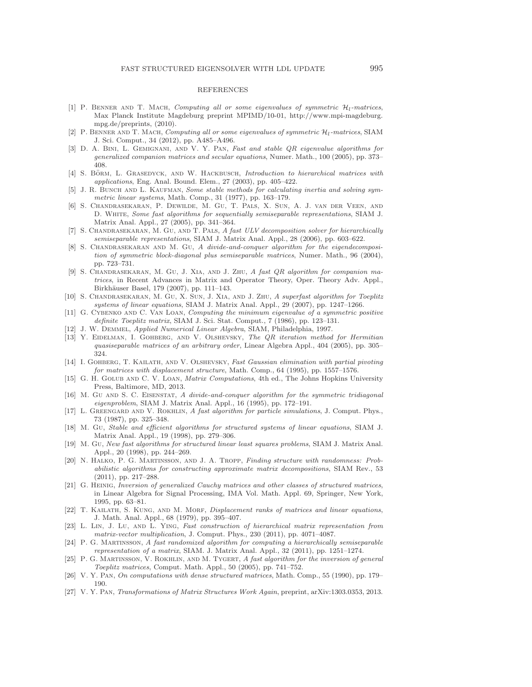## REFERENCES

- <span id="page-21-7"></span>[1] P. BENNER AND T. MACH, Computing all or some eigenvalues of symmetric  $\mathcal{H}_l$ -matrices, Max Planck Institute Magdeburg preprint MPIMD/10-01, [http://www.mpi-magdeburg.](http://www.mpi-magdeburg.mpg.de/preprints) [mpg.de/preprints,](http://www.mpi-magdeburg.mpg.de/preprints) (2010).
- <span id="page-21-8"></span>[2] P. BENNER AND T. MACH, Computing all or some eigenvalues of symmetric  $\mathcal{H}_l$ -matrices, SIAM J. Sci. Comput., 34 (2012), pp. A485–A496.
- <span id="page-21-10"></span>[3] D. A. BINI, L. GEMIGNANI, AND V. Y. PAN, Fast and stable QR eigenvalue algorithms for generalized companion matrices and secular equations, Numer. Math., 100 (2005), pp. 373– 408.
- <span id="page-21-2"></span>[4] S. BÖRM, L. GRASEDYCK, AND W. HACKBUSCH, *Introduction to hierarchical matrices with* applications, Eng. Anal. Bound. Elem., 27 (2003), pp. 405–422.
- <span id="page-21-19"></span>[5] J. R. BUNCH AND L. KAUFMAN, Some stable methods for calculating inertia and solving symmetric linear systems, Math. Comp., 31 (1977), pp. 163–179.
- <span id="page-21-3"></span>[6] S. Chandrasekaran, P. Dewilde, M. Gu, T. Pals, X. Sun, A. J. van der Veen, and D. White, Some fast algorithms for sequentially semiseparable representations, SIAM J. Matrix Anal. Appl., 27 (2005), pp. 341–364.
- <span id="page-21-4"></span>[7] S. Chandrasekaran, M. Gu, and T. Pals, A fast ULV decomposition solver for hierarchically semiseparable representations, SIAM J. Matrix Anal. Appl., 28 (2006), pp. 603–622.
- <span id="page-21-9"></span>[8] S. CHANDRASEKARAN AND M. GU, A divide-and-conquer algorithm for the eigendecomposition of symmetric block-diagonal plus semiseparable matrices, Numer. Math., 96 (2004), pp. 723–731.
- <span id="page-21-11"></span>[9] S. CHANDRASEKARAN, M. GU, J. XIA, AND J. ZHU, A fast QR algorithm for companion matrices, in Recent Advances in Matrix and Operator Theory, Oper. Theory Adv. Appl., Birkhäuser Basel, 179 (2007), pp. 111-143.
- <span id="page-21-15"></span>[10] S. Chandrasekaran, M. Gu, X. Sun, J. Xia, and J. Zhu, A superfast algorithm for Toeplitz systems of linear equations, SIAM J. Matrix Anal. Appl., 29 (2007), pp. 1247–1266.
- <span id="page-21-26"></span>[11] G. Cybenko and C. Van Loan, Computing the minimum eigenvalue of a symmetric positive definite Toeplitz matrix, SIAM J. Sci. Stat. Comput., 7 (1986), pp. 123–131.
- <span id="page-21-18"></span><span id="page-21-5"></span>[12] J. W. Demmel, Applied Numerical Linear Algebra, SIAM, Philadelphia, 1997.
- [13] Y. EIDELMAN, I. GOHBERG, AND V. OLSHEVSKY, The QR iteration method for Hermitian quasiseparable matrices of an arbitrary order, Linear Algebra Appl., 404 (2005), pp. 305– 324.
- <span id="page-21-20"></span>[14] I. GOHBERG, T. KAILATH, AND V. OLSHEVSKY, Fast Gaussian elimination with partial pivoting for matrices with displacement structure, Math. Comp., 64 (1995), pp. 1557–1576.
- <span id="page-21-0"></span>[15] G. H. GOLUB AND C. V. LOAN, *Matrix Computations*, 4th ed., The Johns Hopkins University Press, Baltimore, MD, 2013.
- <span id="page-21-1"></span>[16] M. GU AND S. C. EISENSTAT, A divide-and-conquer algorithm for the symmetric tridiagonal eigenproblem, SIAM J. Matrix Anal. Appl., 16 (1995), pp. 172–191.
- <span id="page-21-6"></span>[17] L. GREENGARD AND V. ROKHLIN, A fast algorithm for particle simulations, J. Comput. Phys., 73 (1987), pp. 325–348.
- <span id="page-21-21"></span>[18] M. Gu, Stable and efficient algorithms for structured systems of linear equations, SIAM J. Matrix Anal. Appl., 19 (1998), pp. 279–306.
- <span id="page-21-22"></span>[19] M. Gu, New fast algorithms for structured linear least squares problems, SIAM J. Matrix Anal. Appl., 20 (1998), pp. 244–269.
- <span id="page-21-12"></span>[20] N. Halko, P. G. Martinsson, and J. A. Tropp, Finding structure with randomness: Probabilistic algorithms for constructing approximate matrix decompositions, SIAM Rev., 53 (2011), pp. 217–288.
- <span id="page-21-23"></span>[21] G. Heinig, Inversion of generalized Cauchy matrices and other classes of structured matrices, in Linear Algebra for Signal Processing, IMA Vol. Math. Appl. 69, Springer, New York, 1995, pp. 63–81.
- <span id="page-21-24"></span>[22] T. KAILATH, S. KUNG, AND M. MORF, *Displacement ranks of matrices and linear equations*, J. Math. Anal. Appl., 68 (1979), pp. 395–407.
- <span id="page-21-13"></span>[23] L. Lin, J. Lu, and L. Ying, Fast construction of hierarchical matrix representation from matrix-vector multiplication, J. Comput. Phys., 230 (2011), pp. 4071–4087.
- <span id="page-21-14"></span>[24] P. G. Martinsson, A fast randomized algorithm for computing a hierarchically semiseparable representation of a matrix, SIAM. J. Matrix Anal. Appl., 32 (2011), pp. 1251–1274.
- <span id="page-21-16"></span>[25] P. G. MARTINSSON, V. ROKHLIN, AND M. TYGERT, A fast algorithm for the inversion of general Toeplitz matrices, Comput. Math. Appl., 50 (2005), pp. 741–752.
- <span id="page-21-25"></span>[26] V. Y. Pan, On computations with dense structured matrices, Math. Comp., 55 (1990), pp. 179– 190.
- <span id="page-21-17"></span>[27] V. Y. Pan, Transformations of Matrix Structures Work Again, preprint, arXiv:1303.0353, 2013.